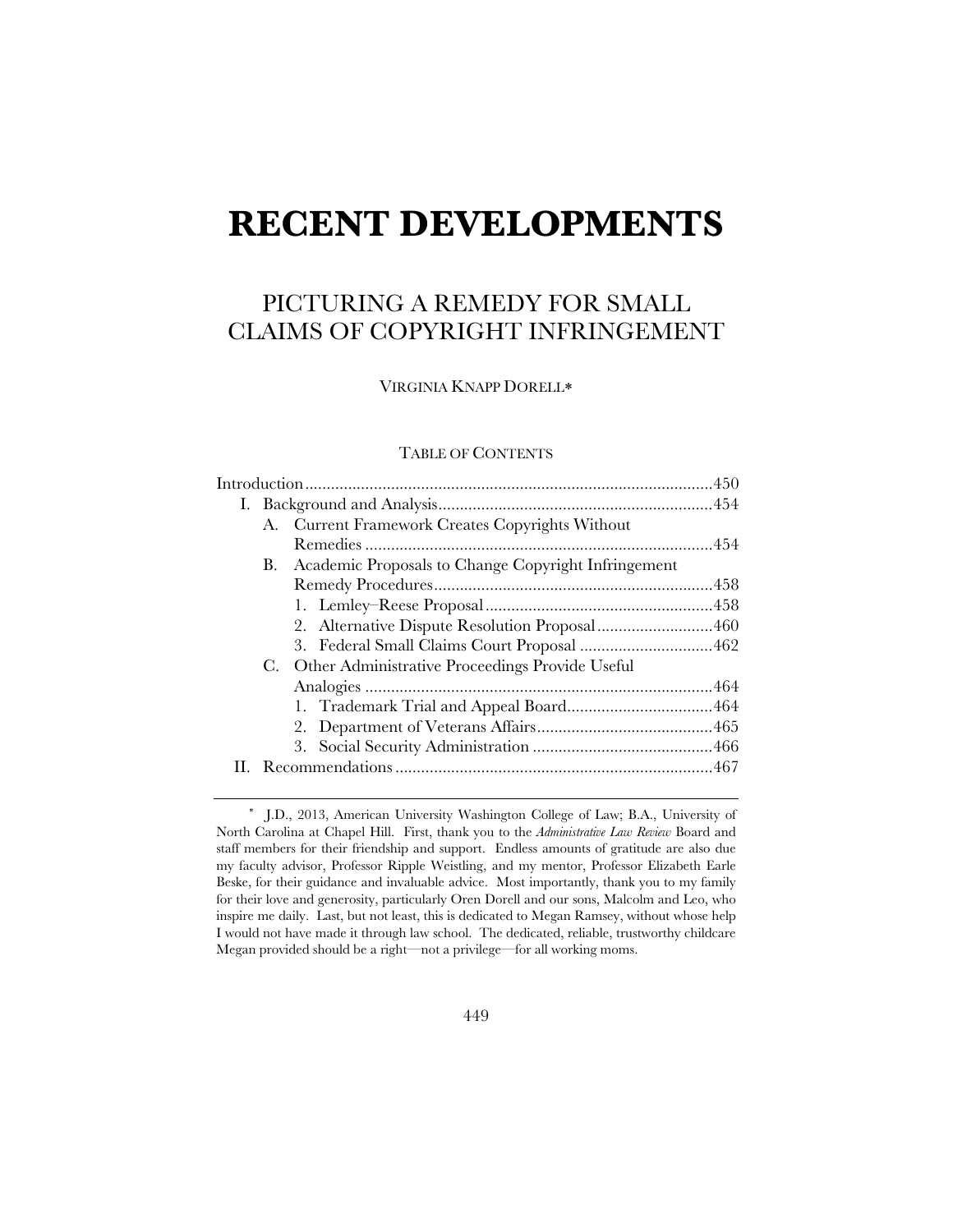# **RECENT DEVELOPMENTS**

### PICTURING A REMEDY FOR SMALL CLAIMS OF COPYRIGHT INFRINGEMENT

VIRGINIA KNAPP DORELL

#### TABLE OF CONTENTS

| A. Current Framework Creates Copyrights Without           |  |
|-----------------------------------------------------------|--|
|                                                           |  |
| Academic Proposals to Change Copyright Infringement<br>В. |  |
|                                                           |  |
|                                                           |  |
|                                                           |  |
|                                                           |  |
| Other Administrative Proceedings Provide Useful<br>C.     |  |
|                                                           |  |
|                                                           |  |
|                                                           |  |
|                                                           |  |
|                                                           |  |
|                                                           |  |

 J.D., 2013, American University Washington College of Law; B.A., University of North Carolina at Chapel Hill. First, thank you to the *Administrative Law Review* Board and staff members for their friendship and support. Endless amounts of gratitude are also due my faculty advisor, Professor Ripple Weistling, and my mentor, Professor Elizabeth Earle Beske, for their guidance and invaluable advice. Most importantly, thank you to my family for their love and generosity, particularly Oren Dorell and our sons, Malcolm and Leo, who inspire me daily. Last, but not least, this is dedicated to Megan Ramsey, without whose help I would not have made it through law school. The dedicated, reliable, trustworthy childcare Megan provided should be a right—not a privilege—for all working moms.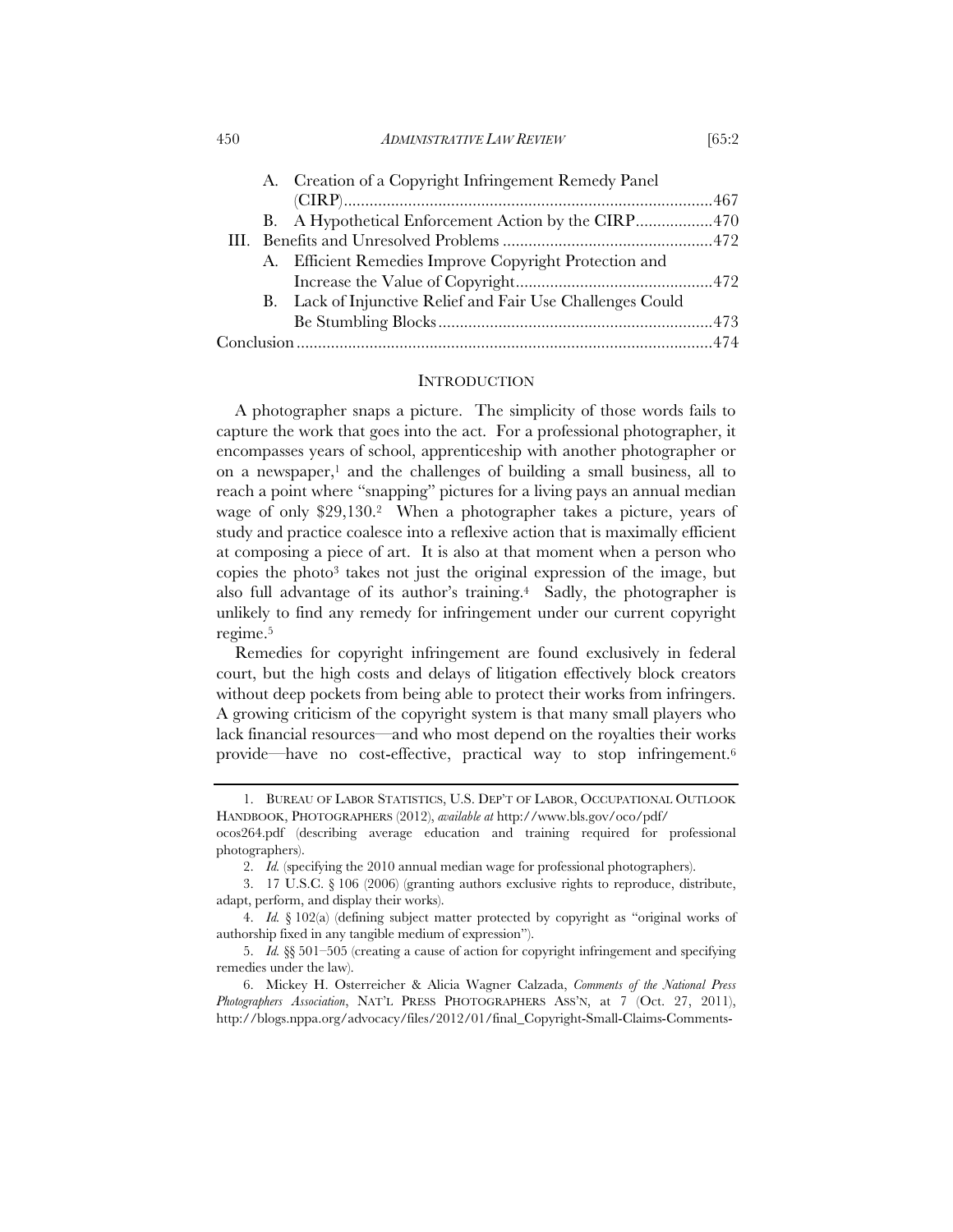450 *ADMINISTRATIVE LAW REVIEW* [65:2

|  |  | A. Creation of a Copyright Infringement Remedy Panel       |  |
|--|--|------------------------------------------------------------|--|
|  |  |                                                            |  |
|  |  | B. A Hypothetical Enforcement Action by the CIRP470        |  |
|  |  |                                                            |  |
|  |  | A. Efficient Remedies Improve Copyright Protection and     |  |
|  |  |                                                            |  |
|  |  | B. Lack of Injunctive Relief and Fair Use Challenges Could |  |
|  |  |                                                            |  |
|  |  |                                                            |  |
|  |  |                                                            |  |

#### INTRODUCTION

A photographer snaps a picture. The simplicity of those words fails to capture the work that goes into the act. For a professional photographer, it encompasses years of school, apprenticeship with another photographer or on a newspaper, $<sup>1</sup>$  and the challenges of building a small business, all to</sup> reach a point where "snapping" pictures for a living pays an annual median wage of only \$29,130.2 When a photographer takes a picture, years of study and practice coalesce into a reflexive action that is maximally efficient at composing a piece of art. It is also at that moment when a person who copies the photo3 takes not just the original expression of the image, but also full advantage of its author's training.4 Sadly, the photographer is unlikely to find any remedy for infringement under our current copyright regime.5

Remedies for copyright infringement are found exclusively in federal court, but the high costs and delays of litigation effectively block creators without deep pockets from being able to protect their works from infringers. A growing criticism of the copyright system is that many small players who lack financial resources—and who most depend on the royalties their works provide—have no cost-effective, practical way to stop infringement.6

 <sup>1.</sup> BUREAU OF LABOR STATISTICS, U.S. DEP'T OF LABOR, OCCUPATIONAL OUTLOOK HANDBOOK, PHOTOGRAPHERS (2012), *available at* http://www.bls.gov/oco/pdf/ ocos264.pdf (describing average education and training required for professional

photographers).

 <sup>2.</sup> *Id.* (specifying the 2010 annual median wage for professional photographers).

 <sup>3. 17</sup> U.S.C. § 106 (2006) (granting authors exclusive rights to reproduce, distribute, adapt, perform, and display their works).

 <sup>4.</sup> *Id.* § 102(a) (defining subject matter protected by copyright as "original works of authorship fixed in any tangible medium of expression").

 <sup>5.</sup> *Id.* §§ 501–505 (creating a cause of action for copyright infringement and specifying remedies under the law).

 <sup>6.</sup> Mickey H. Osterreicher & Alicia Wagner Calzada, *Comments of the National Press Photographers Association*, NAT'L PRESS PHOTOGRAPHERS ASS'N, at 7 (Oct. 27, 2011), http://blogs.nppa.org/advocacy/files/2012/01/final\_Copyright-Small-Claims-Comments-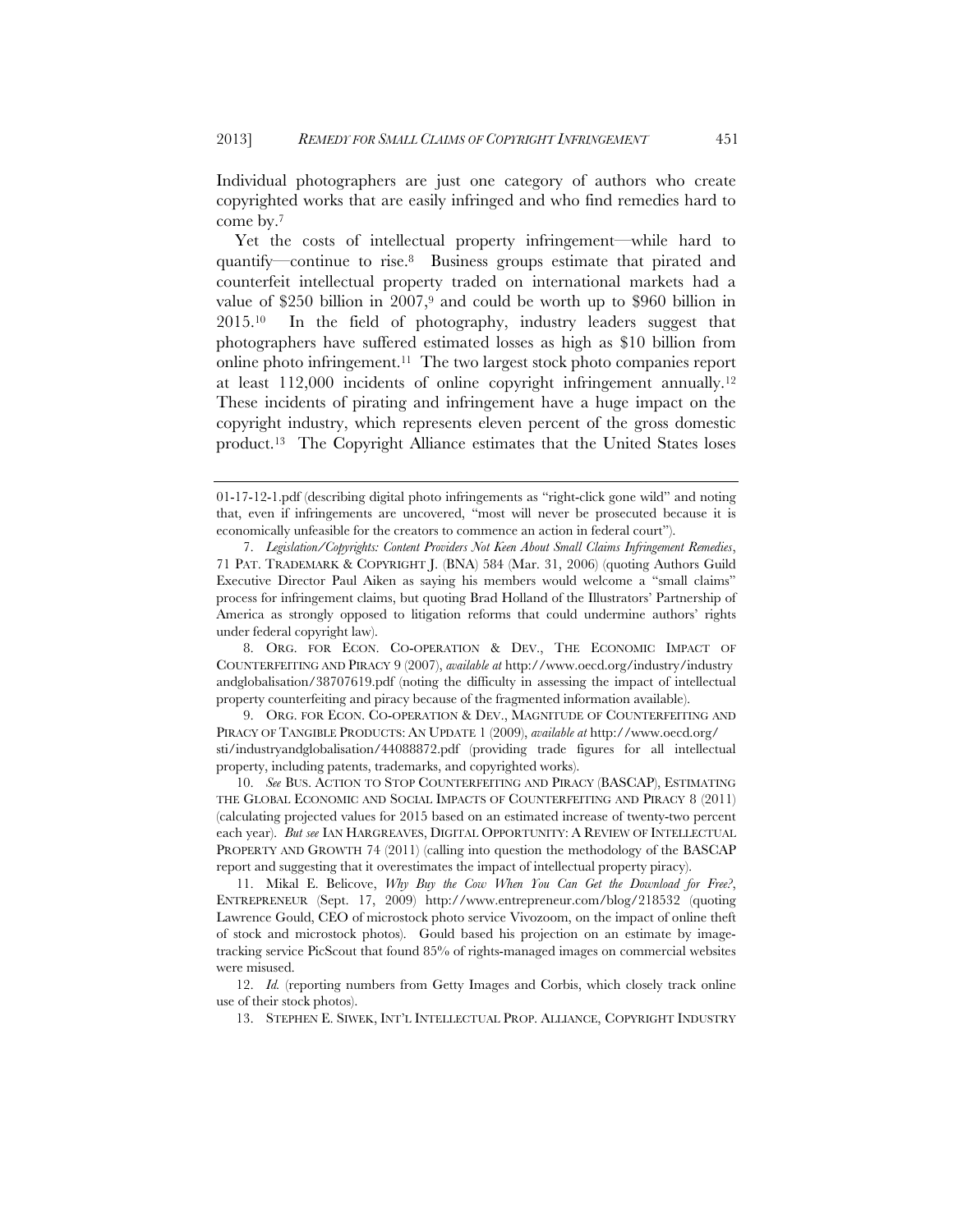Individual photographers are just one category of authors who create copyrighted works that are easily infringed and who find remedies hard to come by.7

Yet the costs of intellectual property infringement—while hard to quantify—continue to rise.8 Business groups estimate that pirated and counterfeit intellectual property traded on international markets had a value of \$250 billion in  $2007$ ,<sup>9</sup> and could be worth up to \$960 billion in 2015.10 In the field of photography, industry leaders suggest that photographers have suffered estimated losses as high as \$10 billion from online photo infringement.11 The two largest stock photo companies report at least 112,000 incidents of online copyright infringement annually.12 These incidents of pirating and infringement have a huge impact on the copyright industry, which represents eleven percent of the gross domestic product.13 The Copyright Alliance estimates that the United States loses

 9. ORG. FOR ECON. CO-OPERATION & DEV., MAGNITUDE OF COUNTERFEITING AND PIRACY OF TANGIBLE PRODUCTS: AN UPDATE 1 (2009), *available at* http://www.oecd.org/ sti/industryandglobalisation/44088872.pdf (providing trade figures for all intellectual property, including patents, trademarks, and copyrighted works).

 10. *See* BUS. ACTION TO STOP COUNTERFEITING AND PIRACY (BASCAP), ESTIMATING THE GLOBAL ECONOMIC AND SOCIAL IMPACTS OF COUNTERFEITING AND PIRACY 8 (2011) (calculating projected values for 2015 based on an estimated increase of twenty-two percent each year). *But see* IAN HARGREAVES, DIGITAL OPPORTUNITY: A REVIEW OF INTELLECTUAL PROPERTY AND GROWTH 74 (2011) (calling into question the methodology of the BASCAP report and suggesting that it overestimates the impact of intellectual property piracy).

<sup>01-17-12-1.</sup>pdf (describing digital photo infringements as "right-click gone wild" and noting that, even if infringements are uncovered, "most will never be prosecuted because it is economically unfeasible for the creators to commence an action in federal court").

 <sup>7.</sup> *Legislation/Copyrights: Content Providers Not Keen About Small Claims Infringement Remedies*, 71 PAT. TRADEMARK & COPYRIGHT J. (BNA) 584 (Mar. 31, 2006) (quoting Authors Guild Executive Director Paul Aiken as saying his members would welcome a "small claims" process for infringement claims, but quoting Brad Holland of the Illustrators' Partnership of America as strongly opposed to litigation reforms that could undermine authors' rights under federal copyright law).

 <sup>8.</sup> ORG. FOR ECON. CO-OPERATION & DEV., THE ECONOMIC IMPACT OF COUNTERFEITING AND PIRACY 9 (2007), *available at* http://www.oecd.org/industry/industry andglobalisation/38707619.pdf (noting the difficulty in assessing the impact of intellectual property counterfeiting and piracy because of the fragmented information available).

 <sup>11.</sup> Mikal E. Belicove, *Why Buy the Cow When You Can Get the Download for Free?*, ENTREPRENEUR (Sept. 17, 2009) http://www.entrepreneur.com/blog/218532 (quoting Lawrence Gould, CEO of microstock photo service Vivozoom, on the impact of online theft of stock and microstock photos). Gould based his projection on an estimate by imagetracking service PicScout that found 85% of rights-managed images on commercial websites were misused.

<sup>12.</sup> *Id.* (reporting numbers from Getty Images and Corbis, which closely track online use of their stock photos).

 <sup>13.</sup> STEPHEN E. SIWEK, INT'L INTELLECTUAL PROP. ALLIANCE, COPYRIGHT INDUSTRY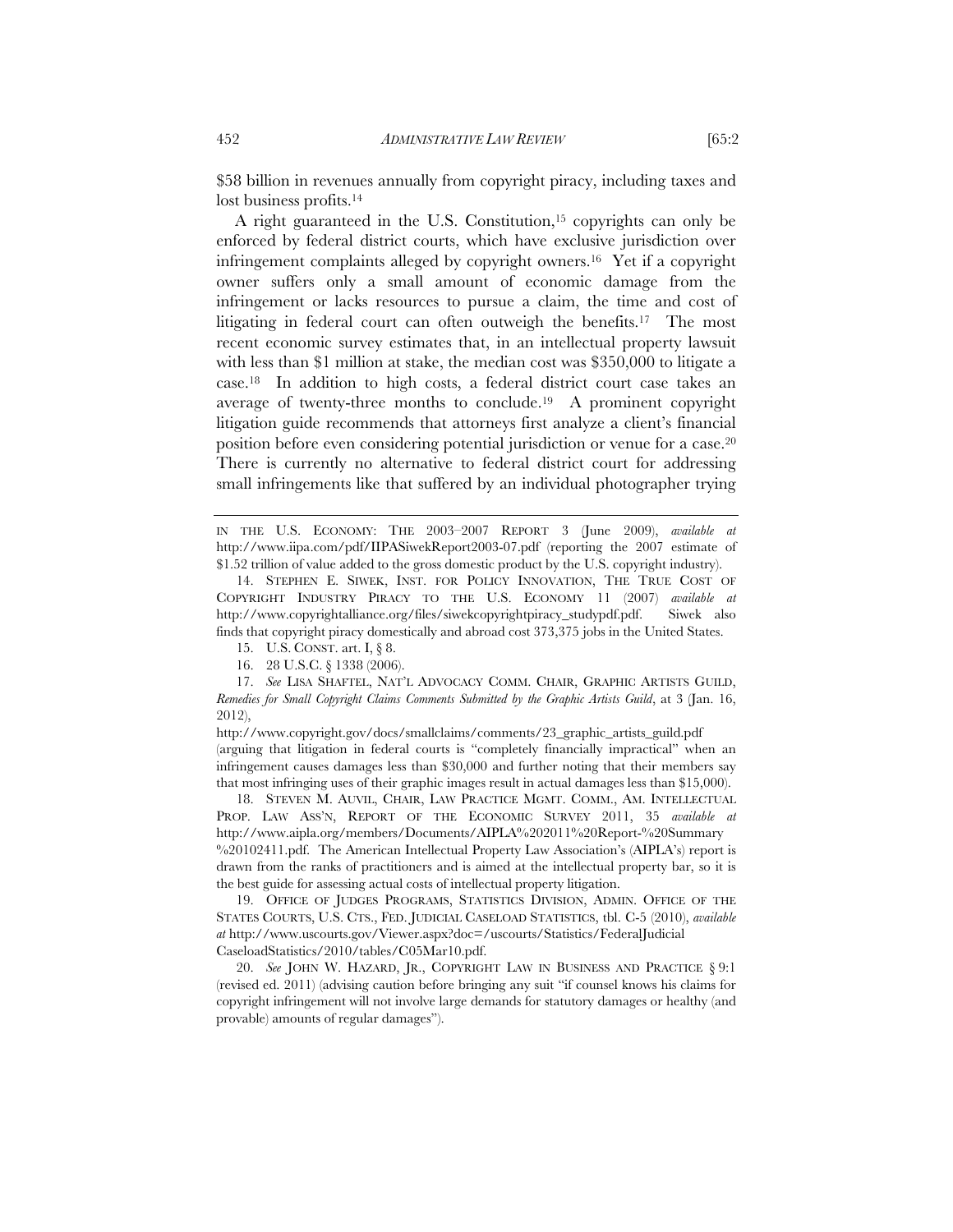\$58 billion in revenues annually from copyright piracy, including taxes and lost business profits.<sup>14</sup>

A right guaranteed in the U.S. Constitution,<sup>15</sup> copyrights can only be enforced by federal district courts, which have exclusive jurisdiction over infringement complaints alleged by copyright owners.16 Yet if a copyright owner suffers only a small amount of economic damage from the infringement or lacks resources to pursue a claim, the time and cost of litigating in federal court can often outweigh the benefits.<sup>17</sup> The most recent economic survey estimates that, in an intellectual property lawsuit with less than \$1 million at stake, the median cost was \$350,000 to litigate a case.18 In addition to high costs, a federal district court case takes an average of twenty-three months to conclude.19 A prominent copyright litigation guide recommends that attorneys first analyze a client's financial position before even considering potential jurisdiction or venue for a case.20 There is currently no alternative to federal district court for addressing small infringements like that suffered by an individual photographer trying

- 15. U.S. CONST. art. I, § 8.
- 16. 28 U.S.C. § 1338 (2006).
- 17. *See* LISA SHAFTEL, NAT'L ADVOCACY COMM. CHAIR, GRAPHIC ARTISTS GUILD, *Remedies for Small Copyright Claims Comments Submitted by the Graphic Artists Guild*, at 3 (Jan. 16, 2012),

http://www.copyright.gov/docs/smallclaims/comments/23\_graphic\_artists\_guild.pdf (arguing that litigation in federal courts is "completely financially impractical" when an infringement causes damages less than \$30,000 and further noting that their members say that most infringing uses of their graphic images result in actual damages less than \$15,000).

 18. STEVEN M. AUVIL, CHAIR, LAW PRACTICE MGMT. COMM., AM. INTELLECTUAL PROP. LAW ASS'N, REPORT OF THE ECONOMIC SURVEY 2011, 35 *available at* http://www.aipla.org/members/Documents/AIPLA%202011%20Report-%20Summary %20102411.pdf. The American Intellectual Property Law Association's (AIPLA's) report is drawn from the ranks of practitioners and is aimed at the intellectual property bar, so it is the best guide for assessing actual costs of intellectual property litigation.

 19. OFFICE OF JUDGES PROGRAMS, STATISTICS DIVISION, ADMIN. OFFICE OF THE STATES COURTS, U.S. CTS., FED. JUDICIAL CASELOAD STATISTICS, tbl. C-5 (2010), *available at* http://www.uscourts.gov/Viewer.aspx?doc=/uscourts/Statistics/FederalJudicial CaseloadStatistics/2010/tables/C05Mar10.pdf.

 20. *See* JOHN W. HAZARD, JR., COPYRIGHT LAW IN BUSINESS AND PRACTICE § 9:1 (revised ed. 2011) (advising caution before bringing any suit "if counsel knows his claims for copyright infringement will not involve large demands for statutory damages or healthy (and provable) amounts of regular damages").

IN THE U.S. ECONOMY: THE 2003–2007 REPORT 3 (June 2009), *available at* http://www.iipa.com/pdf/IIPASiwekReport2003-07.pdf (reporting the 2007 estimate of \$1.52 trillion of value added to the gross domestic product by the U.S. copyright industry).

 <sup>14.</sup> STEPHEN E. SIWEK, INST. FOR POLICY INNOVATION, THE TRUE COST OF COPYRIGHT INDUSTRY PIRACY TO THE U.S. ECONOMY 11 (2007) *available at* http://www.copyrightalliance.org/files/siwekcopyrightpiracy\_studypdf.pdf. Siwek also finds that copyright piracy domestically and abroad cost 373,375 jobs in the United States.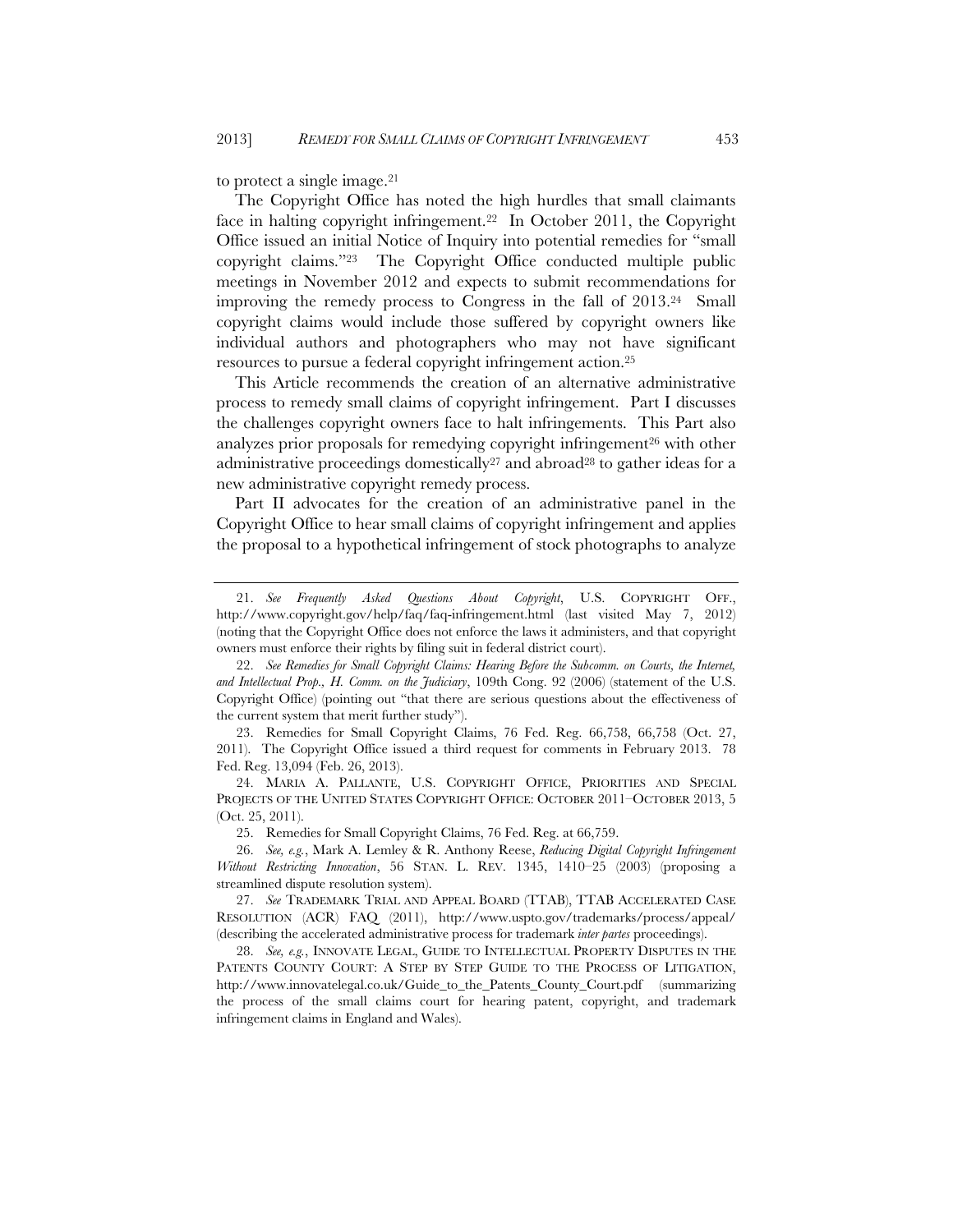to protect a single image.21

The Copyright Office has noted the high hurdles that small claimants face in halting copyright infringement.22 In October 2011, the Copyright Office issued an initial Notice of Inquiry into potential remedies for "small copyright claims."23 The Copyright Office conducted multiple public meetings in November 2012 and expects to submit recommendations for improving the remedy process to Congress in the fall of 2013.24 Small copyright claims would include those suffered by copyright owners like individual authors and photographers who may not have significant resources to pursue a federal copyright infringement action.25

This Article recommends the creation of an alternative administrative process to remedy small claims of copyright infringement. Part I discusses the challenges copyright owners face to halt infringements. This Part also analyzes prior proposals for remedying copyright infringement<sup>26</sup> with other administrative proceedings domestically<sup>27</sup> and abroad<sup>28</sup> to gather ideas for a new administrative copyright remedy process.

Part II advocates for the creation of an administrative panel in the Copyright Office to hear small claims of copyright infringement and applies the proposal to a hypothetical infringement of stock photographs to analyze

 <sup>21.</sup> *See Frequently Asked Questions About Copyright*, U.S. COPYRIGHT OFF., http://www.copyright.gov/help/faq/faq-infringement.html (last visited May 7, 2012) (noting that the Copyright Office does not enforce the laws it administers, and that copyright owners must enforce their rights by filing suit in federal district court).

 <sup>22.</sup> *See Remedies for Small Copyright Claims: Hearing Before the Subcomm. on Courts, the Internet, and Intellectual Prop., H. Comm. on the Judiciary*, 109th Cong. 92 (2006) (statement of the U.S. Copyright Office) (pointing out "that there are serious questions about the effectiveness of the current system that merit further study").

 <sup>23.</sup> Remedies for Small Copyright Claims, 76 Fed. Reg. 66,758, 66,758 (Oct. 27, 2011). The Copyright Office issued a third request for comments in February 2013. 78 Fed. Reg. 13,094 (Feb. 26, 2013).

 <sup>24.</sup> MARIA A. PALLANTE, U.S. COPYRIGHT OFFICE, PRIORITIES AND SPECIAL PROJECTS OF THE UNITED STATES COPYRIGHT OFFICE: OCTOBER 2011–OCTOBER 2013, 5 (Oct. 25, 2011).

 <sup>25.</sup> Remedies for Small Copyright Claims, 76 Fed. Reg. at 66,759.

 <sup>26.</sup> *See, e.g.*, Mark A. Lemley & R. Anthony Reese, *Reducing Digital Copyright Infringement Without Restricting Innovation*, 56 STAN. L. REV. 1345, 1410–25 (2003) (proposing a streamlined dispute resolution system).

 <sup>27.</sup> *See* TRADEMARK TRIAL AND APPEAL BOARD (TTAB), TTAB ACCELERATED CASE RESOLUTION (ACR) FAQ (2011), http://www.uspto.gov/trademarks/process/appeal/ (describing the accelerated administrative process for trademark *inter partes* proceedings).

 <sup>28.</sup> *See, e.g.*, INNOVATE LEGAL, GUIDE TO INTELLECTUAL PROPERTY DISPUTES IN THE PATENTS COUNTY COURT: A STEP BY STEP GUIDE TO THE PROCESS OF LITIGATION, http://www.innovatelegal.co.uk/Guide\_to\_the\_Patents\_County\_Court.pdf (summarizing the process of the small claims court for hearing patent, copyright, and trademark infringement claims in England and Wales).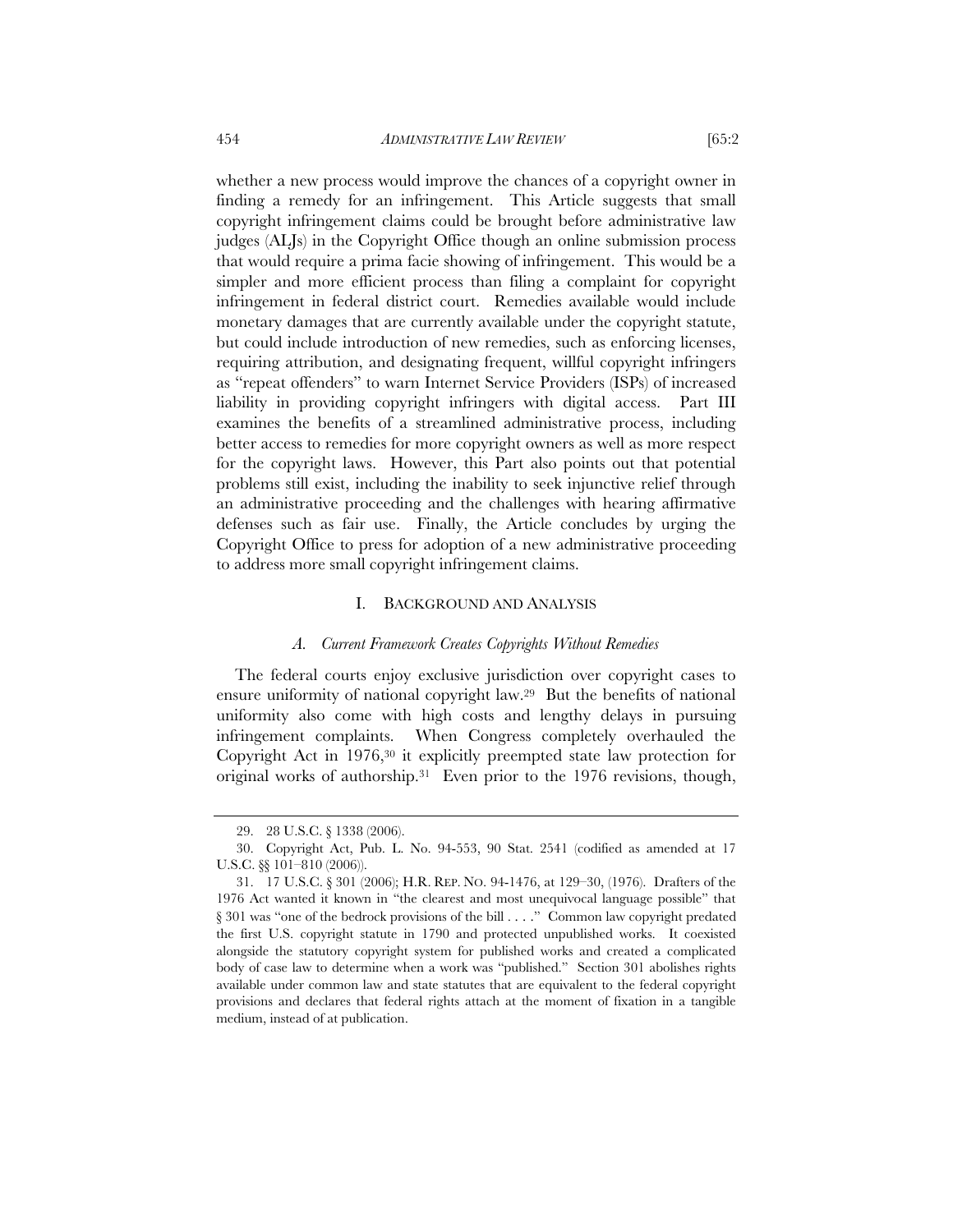whether a new process would improve the chances of a copyright owner in finding a remedy for an infringement. This Article suggests that small copyright infringement claims could be brought before administrative law judges (ALJs) in the Copyright Office though an online submission process that would require a prima facie showing of infringement. This would be a simpler and more efficient process than filing a complaint for copyright infringement in federal district court. Remedies available would include monetary damages that are currently available under the copyright statute, but could include introduction of new remedies, such as enforcing licenses, requiring attribution, and designating frequent, willful copyright infringers as "repeat offenders" to warn Internet Service Providers (ISPs) of increased liability in providing copyright infringers with digital access. Part III examines the benefits of a streamlined administrative process, including better access to remedies for more copyright owners as well as more respect

for the copyright laws. However, this Part also points out that potential problems still exist, including the inability to seek injunctive relief through an administrative proceeding and the challenges with hearing affirmative defenses such as fair use. Finally, the Article concludes by urging the Copyright Office to press for adoption of a new administrative proceeding to address more small copyright infringement claims.

#### I. BACKGROUND AND ANALYSIS

#### *A. Current Framework Creates Copyrights Without Remedies*

The federal courts enjoy exclusive jurisdiction over copyright cases to ensure uniformity of national copyright law.29 But the benefits of national uniformity also come with high costs and lengthy delays in pursuing infringement complaints. When Congress completely overhauled the Copyright Act in 1976,30 it explicitly preempted state law protection for original works of authorship.31 Even prior to the 1976 revisions, though,

 <sup>29. 28</sup> U.S.C. § 1338 (2006).

 <sup>30.</sup> Copyright Act, Pub. L. No. 94-553, 90 Stat. 2541 (codified as amended at 17 U.S.C. §§ 101–810 (2006)).

 <sup>31. 17</sup> U.S.C. § 301 (2006); H.R. REP. NO. 94-1476, at 129–30, (1976). Drafters of the 1976 Act wanted it known in "the clearest and most unequivocal language possible" that § 301 was "one of the bedrock provisions of the bill . . . ." Common law copyright predated the first U.S. copyright statute in 1790 and protected unpublished works. It coexisted alongside the statutory copyright system for published works and created a complicated body of case law to determine when a work was "published." Section 301 abolishes rights available under common law and state statutes that are equivalent to the federal copyright provisions and declares that federal rights attach at the moment of fixation in a tangible medium, instead of at publication.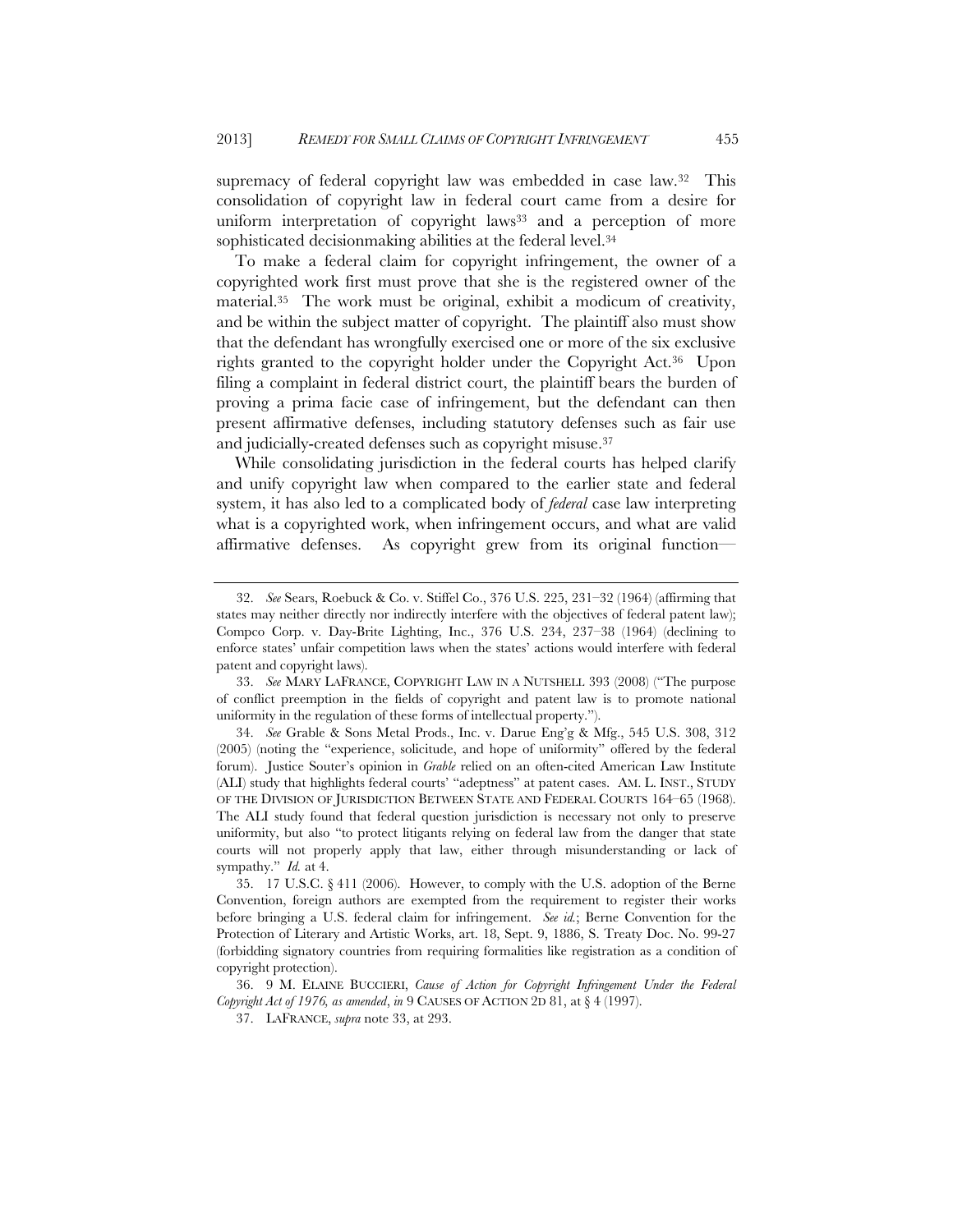supremacy of federal copyright law was embedded in case law.<sup>32</sup> This consolidation of copyright law in federal court came from a desire for uniform interpretation of copyright laws<sup>33</sup> and a perception of more sophisticated decisionmaking abilities at the federal level.<sup>34</sup>

To make a federal claim for copyright infringement, the owner of a copyrighted work first must prove that she is the registered owner of the material.35 The work must be original, exhibit a modicum of creativity, and be within the subject matter of copyright. The plaintiff also must show that the defendant has wrongfully exercised one or more of the six exclusive rights granted to the copyright holder under the Copyright Act.36 Upon filing a complaint in federal district court, the plaintiff bears the burden of proving a prima facie case of infringement, but the defendant can then present affirmative defenses, including statutory defenses such as fair use and judicially-created defenses such as copyright misuse.37

While consolidating jurisdiction in the federal courts has helped clarify and unify copyright law when compared to the earlier state and federal system, it has also led to a complicated body of *federal* case law interpreting what is a copyrighted work, when infringement occurs, and what are valid affirmative defenses. As copyright grew from its original function—

 <sup>32.</sup> *See* Sears, Roebuck & Co. v. Stiffel Co., 376 U.S. 225, 231–32 (1964) (affirming that states may neither directly nor indirectly interfere with the objectives of federal patent law); Compco Corp. v. Day-Brite Lighting, Inc., 376 U.S. 234, 237–38 (1964) (declining to enforce states' unfair competition laws when the states' actions would interfere with federal patent and copyright laws).

 <sup>33.</sup> *See* MARY LAFRANCE, COPYRIGHT LAW IN A NUTSHELL 393 (2008) ("The purpose of conflict preemption in the fields of copyright and patent law is to promote national uniformity in the regulation of these forms of intellectual property.").

 <sup>34.</sup> *See* Grable & Sons Metal Prods., Inc. v. Darue Eng'g & Mfg., 545 U.S. 308, 312 (2005) (noting the "experience, solicitude, and hope of uniformity" offered by the federal forum). Justice Souter's opinion in *Grable* relied on an often-cited American Law Institute (ALI) study that highlights federal courts' "adeptness" at patent cases. AM. L. INST., STUDY OF THE DIVISION OF JURISDICTION BETWEEN STATE AND FEDERAL COURTS 164–65 (1968). The ALI study found that federal question jurisdiction is necessary not only to preserve uniformity, but also "to protect litigants relying on federal law from the danger that state courts will not properly apply that law, either through misunderstanding or lack of sympathy." *Id.* at 4.

 <sup>35. 17</sup> U.S.C. § 411 (2006). However, to comply with the U.S. adoption of the Berne Convention, foreign authors are exempted from the requirement to register their works before bringing a U.S. federal claim for infringement. *See id.*; Berne Convention for the Protection of Literary and Artistic Works, art. 18, Sept. 9, 1886, S. Treaty Doc. No. 99-27 (forbidding signatory countries from requiring formalities like registration as a condition of copyright protection).

 <sup>36. 9</sup> M. ELAINE BUCCIERI, *Cause of Action for Copyright Infringement Under the Federal Copyright Act of 1976, as amended*, *in* 9 CAUSES OF ACTION 2D 81, at § 4 (1997).

 <sup>37.</sup> LAFRANCE, *supra* note 33, at 293.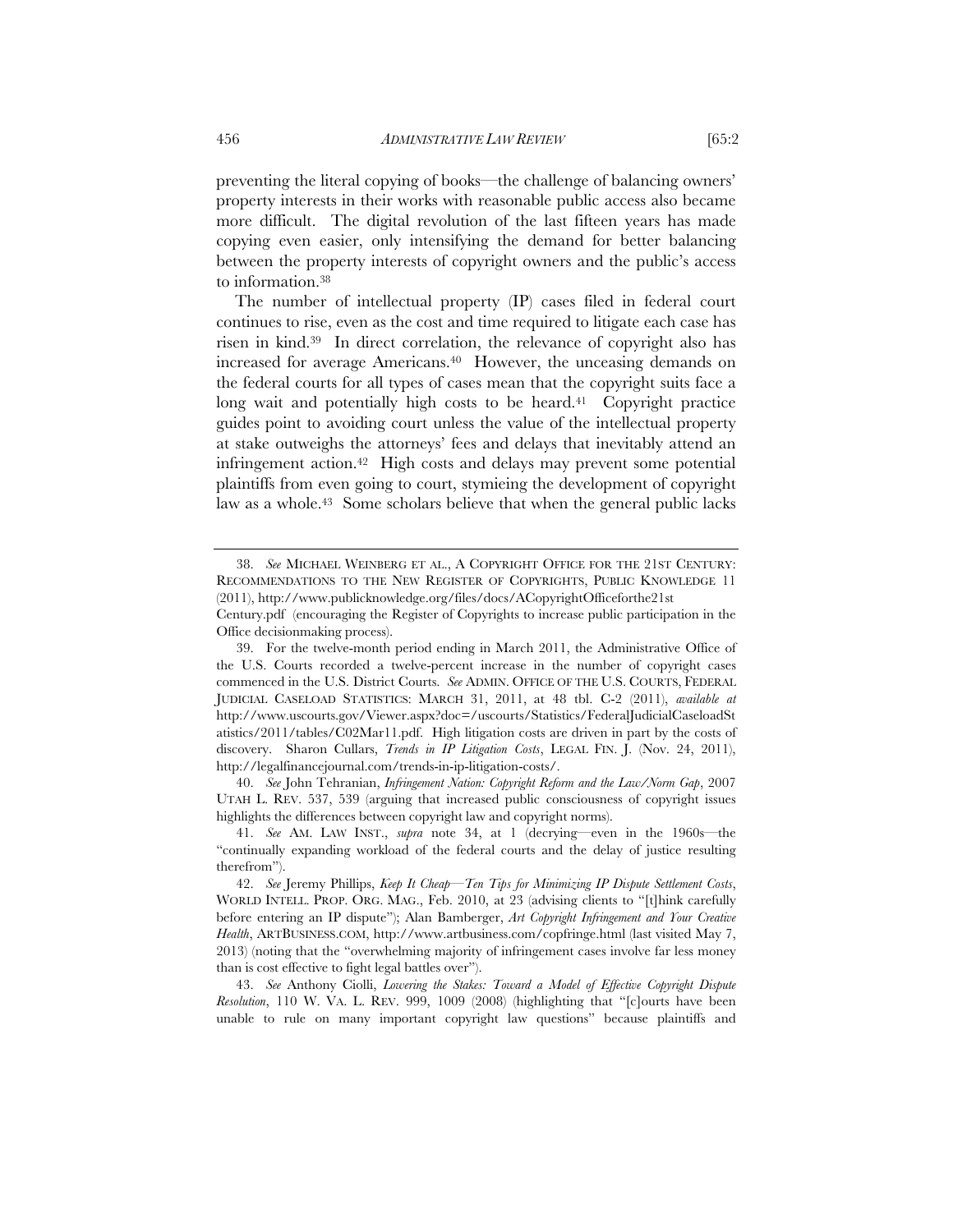preventing the literal copying of books—the challenge of balancing owners' property interests in their works with reasonable public access also became more difficult. The digital revolution of the last fifteen years has made copying even easier, only intensifying the demand for better balancing between the property interests of copyright owners and the public's access to information.38

The number of intellectual property (IP) cases filed in federal court continues to rise, even as the cost and time required to litigate each case has risen in kind.39 In direct correlation, the relevance of copyright also has increased for average Americans.40 However, the unceasing demands on the federal courts for all types of cases mean that the copyright suits face a long wait and potentially high costs to be heard.<sup>41</sup> Copyright practice guides point to avoiding court unless the value of the intellectual property at stake outweighs the attorneys' fees and delays that inevitably attend an infringement action.42 High costs and delays may prevent some potential plaintiffs from even going to court, stymieing the development of copyright law as a whole.<sup>43</sup> Some scholars believe that when the general public lacks

 40. *See* John Tehranian, *Infringement Nation: Copyright Reform and the Law/Norm Gap*, 2007 UTAH L. REV. 537, 539 (arguing that increased public consciousness of copyright issues highlights the differences between copyright law and copyright norms).

 43. *See* Anthony Ciolli, *Lowering the Stakes: Toward a Model of Effective Copyright Dispute Resolution*, 110 W. VA. L. REV. 999, 1009 (2008) (highlighting that "[c]ourts have been unable to rule on many important copyright law questions" because plaintiffs and

 <sup>38.</sup> *See* MICHAEL WEINBERG ET AL., A COPYRIGHT OFFICE FOR THE 21ST CENTURY: RECOMMENDATIONS TO THE NEW REGISTER OF COPYRIGHTS, PUBLIC KNOWLEDGE 11 (2011), http://www.publicknowledge.org/files/docs/ACopyrightOfficeforthe21st

Century.pdf (encouraging the Register of Copyrights to increase public participation in the Office decisionmaking process).

 <sup>39.</sup> For the twelve-month period ending in March 2011, the Administrative Office of the U.S. Courts recorded a twelve-percent increase in the number of copyright cases commenced in the U.S. District Courts. *See* ADMIN. OFFICE OF THE U.S. COURTS, FEDERAL JUDICIAL CASELOAD STATISTICS: MARCH 31, 2011, at 48 tbl. C-2 (2011), *available at* http://www.uscourts.gov/Viewer.aspx?doc=/uscourts/Statistics/FederalJudicialCaseloadSt atistics/2011/tables/C02Mar11.pdf. High litigation costs are driven in part by the costs of discovery. Sharon Cullars, *Trends in IP Litigation Costs*, LEGAL FIN. J. (Nov. 24, 2011), http://legalfinancejournal.com/trends-in-ip-litigation-costs/.

 <sup>41.</sup> *See* AM. LAW INST., *supra* note 34, at 1 (decrying—even in the 1960s—the "continually expanding workload of the federal courts and the delay of justice resulting therefrom").

 <sup>42.</sup> *See* Jeremy Phillips, *Keep It Cheap—Ten Tips for Minimizing IP Dispute Settlement Costs*, WORLD INTELL. PROP. ORG. MAG., Feb. 2010, at 23 (advising clients to "[t]hink carefully before entering an IP dispute"); Alan Bamberger, *Art Copyright Infringement and Your Creative Health*, ARTBUSINESS.COM, http://www.artbusiness.com/copfringe.html (last visited May 7, 2013) (noting that the "overwhelming majority of infringement cases involve far less money than is cost effective to fight legal battles over").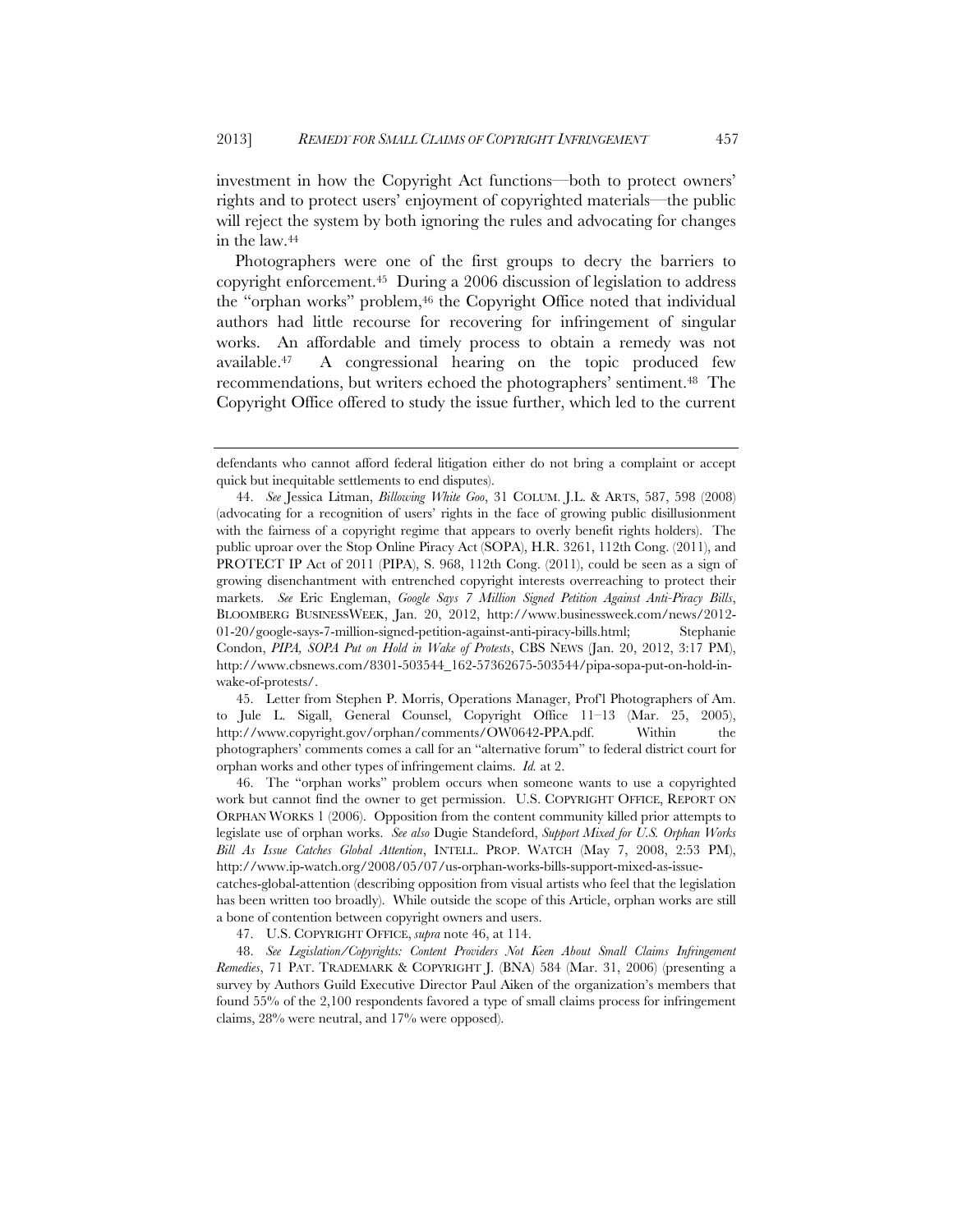investment in how the Copyright Act functions—both to protect owners' rights and to protect users' enjoyment of copyrighted materials—the public will reject the system by both ignoring the rules and advocating for changes in the law.44

Photographers were one of the first groups to decry the barriers to copyright enforcement.45 During a 2006 discussion of legislation to address the "orphan works" problem,<sup>46</sup> the Copyright Office noted that individual authors had little recourse for recovering for infringement of singular works. An affordable and timely process to obtain a remedy was not available.47 A congressional hearing on the topic produced few recommendations, but writers echoed the photographers' sentiment.<sup>48</sup> The Copyright Office offered to study the issue further, which led to the current

 45. Letter from Stephen P. Morris, Operations Manager, Prof'l Photographers of Am. to Jule L. Sigall, General Counsel, Copyright Office 11–13 (Mar. 25, 2005), http://www.copyright.gov/orphan/comments/OW0642-PPA.pdf. Within the photographers' comments comes a call for an "alternative forum" to federal district court for orphan works and other types of infringement claims. *Id.* at 2.

 46. The "orphan works" problem occurs when someone wants to use a copyrighted work but cannot find the owner to get permission. U.S. COPYRIGHT OFFICE, REPORT ON ORPHAN WORKS 1 (2006). Opposition from the content community killed prior attempts to legislate use of orphan works. *See also* Dugie Standeford, *Support Mixed for U.S. Orphan Works Bill As Issue Catches Global Attention*, INTELL. PROP. WATCH (May 7, 2008, 2:53 PM), http://www.ip-watch.org/2008/05/07/us-orphan-works-bills-support-mixed-as-issue-

catches-global-attention (describing opposition from visual artists who feel that the legislation has been written too broadly). While outside the scope of this Article, orphan works are still a bone of contention between copyright owners and users.

47. U.S. COPYRIGHT OFFICE, *supra* note 46, at 114.

 48. *See Legislation/Copyrights: Content Providers Not Keen About Small Claims Infringement Remedies*, 71 PAT. TRADEMARK & COPYRIGHT J. (BNA) 584 (Mar. 31, 2006) (presenting a survey by Authors Guild Executive Director Paul Aiken of the organization's members that found 55% of the 2,100 respondents favored a type of small claims process for infringement claims, 28% were neutral, and 17% were opposed).

defendants who cannot afford federal litigation either do not bring a complaint or accept quick but inequitable settlements to end disputes).

 <sup>44.</sup> *See* Jessica Litman, *Billowing White Goo*, 31 COLUM. J.L. & ARTS, 587, 598 (2008) (advocating for a recognition of users' rights in the face of growing public disillusionment with the fairness of a copyright regime that appears to overly benefit rights holders). The public uproar over the Stop Online Piracy Act (SOPA), H.R. 3261, 112th Cong. (2011), and PROTECT IP Act of 2011 (PIPA), S. 968, 112th Cong. (2011), could be seen as a sign of growing disenchantment with entrenched copyright interests overreaching to protect their markets. *See* Eric Engleman, *Google Says 7 Million Signed Petition Against Anti-Piracy Bills*, BLOOMBERG BUSINESSWEEK, Jan. 20, 2012, http://www.businessweek.com/news/2012- 01-20/google-says-7-million-signed-petition-against-anti-piracy-bills.html; Stephanie Condon, *PIPA, SOPA Put on Hold in Wake of Protests*, CBS NEWS (Jan. 20, 2012, 3:17 PM), http://www.cbsnews.com/8301-503544\_162-57362675-503544/pipa-sopa-put-on-hold-inwake-of-protests/.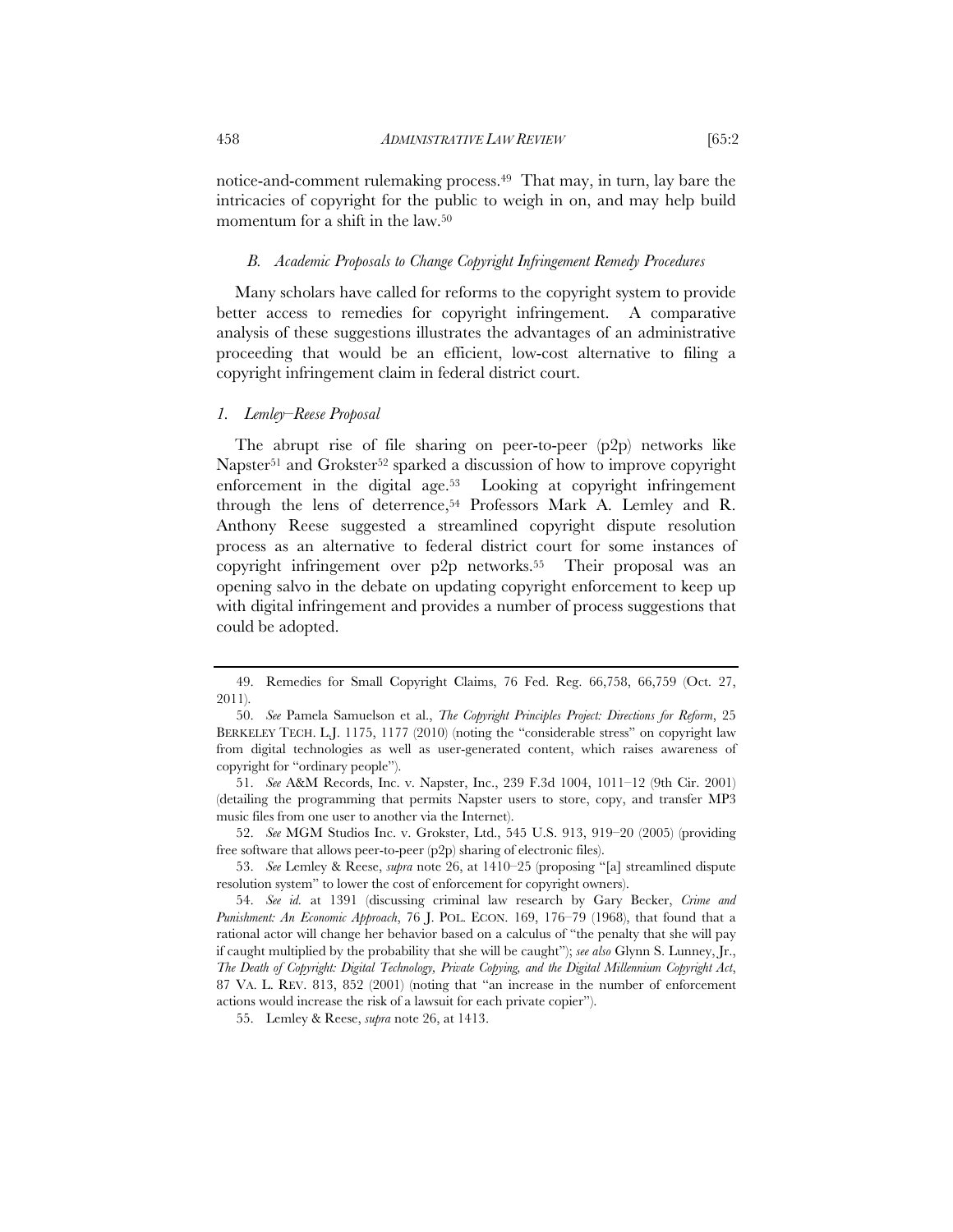notice-and-comment rulemaking process.49 That may, in turn, lay bare the intricacies of copyright for the public to weigh in on, and may help build momentum for a shift in the law.50

#### *B. Academic Proposals to Change Copyright Infringement Remedy Procedures*

Many scholars have called for reforms to the copyright system to provide better access to remedies for copyright infringement. A comparative analysis of these suggestions illustrates the advantages of an administrative proceeding that would be an efficient, low-cost alternative to filing a copyright infringement claim in federal district court.

#### *1. Lemley–Reese Proposal*

The abrupt rise of file sharing on peer-to-peer (p2p) networks like Napster<sup>51</sup> and Grokster<sup>52</sup> sparked a discussion of how to improve copyright enforcement in the digital age.53 Looking at copyright infringement through the lens of deterrence,<sup>54</sup> Professors Mark A. Lemley and R. Anthony Reese suggested a streamlined copyright dispute resolution process as an alternative to federal district court for some instances of copyright infringement over p2p networks.55 Their proposal was an opening salvo in the debate on updating copyright enforcement to keep up with digital infringement and provides a number of process suggestions that could be adopted.

 <sup>49.</sup> Remedies for Small Copyright Claims, 76 Fed. Reg. 66,758, 66,759 (Oct. 27, 2011).

 <sup>50.</sup> *See* Pamela Samuelson et al., *The Copyright Principles Project: Directions for Reform*, 25 BERKELEY TECH. L.J. 1175, 1177 (2010) (noting the "considerable stress" on copyright law from digital technologies as well as user-generated content, which raises awareness of copyright for "ordinary people").

 <sup>51.</sup> *See* A&M Records, Inc. v. Napster, Inc., 239 F.3d 1004, 1011–12 (9th Cir. 2001) (detailing the programming that permits Napster users to store, copy, and transfer MP3 music files from one user to another via the Internet).

 <sup>52.</sup> *See* MGM Studios Inc. v. Grokster, Ltd., 545 U.S. 913, 919–20 (2005) (providing free software that allows peer-to-peer (p2p) sharing of electronic files).

 <sup>53.</sup> *See* Lemley & Reese, *supra* note 26, at 1410–25 (proposing "[a] streamlined dispute resolution system" to lower the cost of enforcement for copyright owners).

 <sup>54.</sup> *See id.* at 1391 (discussing criminal law research by Gary Becker, *Crime and Punishment: An Economic Approach*, 76 J. POL. ECON. 169, 176–79 (1968), that found that a rational actor will change her behavior based on a calculus of "the penalty that she will pay if caught multiplied by the probability that she will be caught"); *see also* Glynn S. Lunney, Jr., *The Death of Copyright: Digital Technology, Private Copying, and the Digital Millennium Copyright Act*, 87 VA. L. REV. 813, 852 (2001) (noting that "an increase in the number of enforcement actions would increase the risk of a lawsuit for each private copier").

 <sup>55.</sup> Lemley & Reese, *supra* note 26, at 1413.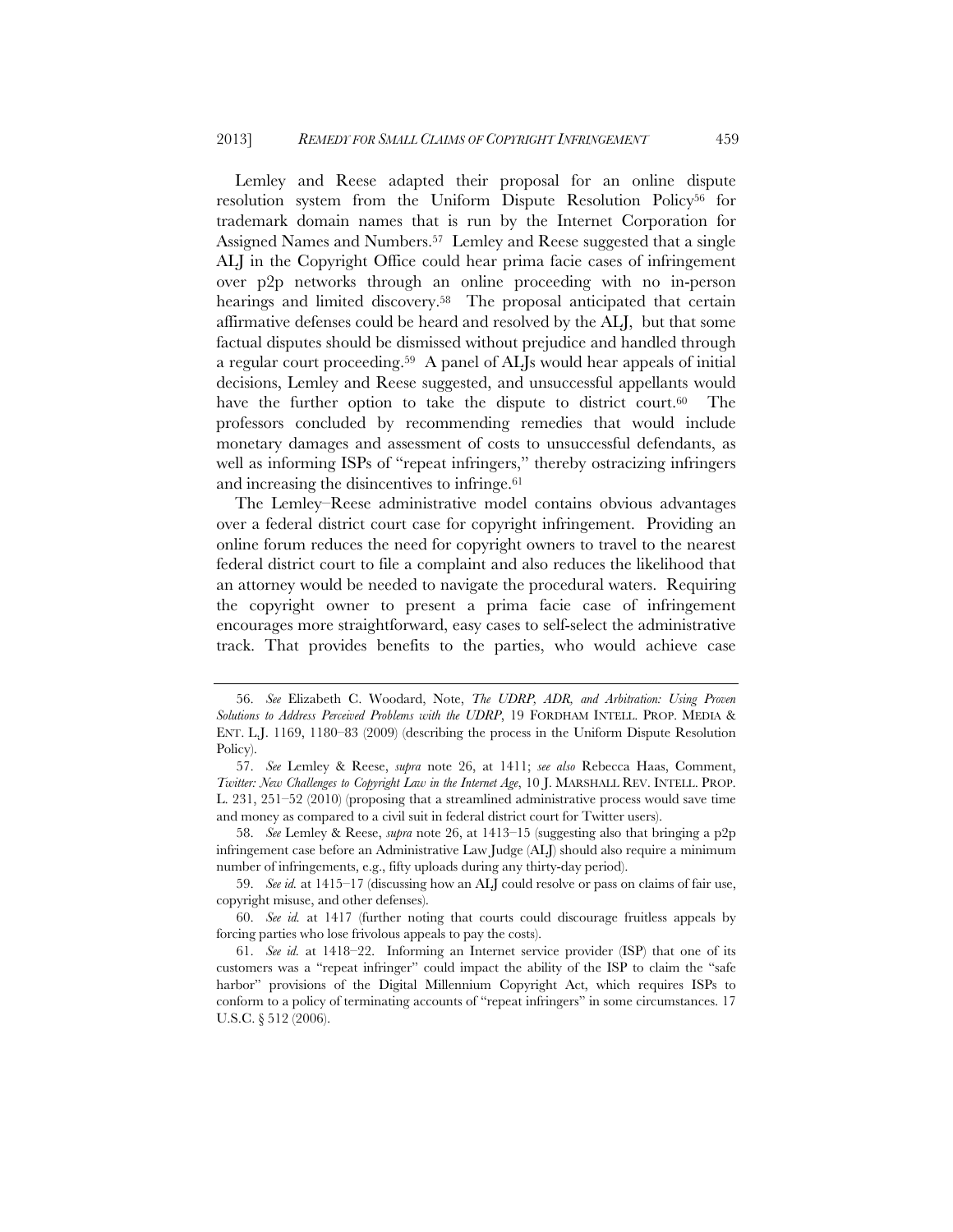Lemley and Reese adapted their proposal for an online dispute resolution system from the Uniform Dispute Resolution Policy<sup>56</sup> for trademark domain names that is run by the Internet Corporation for Assigned Names and Numbers.57 Lemley and Reese suggested that a single ALJ in the Copyright Office could hear prima facie cases of infringement over p2p networks through an online proceeding with no in-person hearings and limited discovery.<sup>58</sup> The proposal anticipated that certain affirmative defenses could be heard and resolved by the ALJ, but that some factual disputes should be dismissed without prejudice and handled through a regular court proceeding.59 A panel of ALJs would hear appeals of initial decisions, Lemley and Reese suggested, and unsuccessful appellants would have the further option to take the dispute to district court.<sup>60</sup> The professors concluded by recommending remedies that would include monetary damages and assessment of costs to unsuccessful defendants, as well as informing ISPs of "repeat infringers," thereby ostracizing infringers and increasing the disincentives to infringe.61

The Lemley–Reese administrative model contains obvious advantages over a federal district court case for copyright infringement. Providing an online forum reduces the need for copyright owners to travel to the nearest federal district court to file a complaint and also reduces the likelihood that an attorney would be needed to navigate the procedural waters. Requiring the copyright owner to present a prima facie case of infringement encourages more straightforward, easy cases to self-select the administrative track. That provides benefits to the parties, who would achieve case

 <sup>56.</sup> *See* Elizabeth C. Woodard, Note, *The UDRP, ADR, and Arbitration: Using Proven Solutions to Address Perceived Problems with the UDRP*, 19 FORDHAM INTELL. PROP. MEDIA & ENT. L.J. 1169, 1180–83 (2009) (describing the process in the Uniform Dispute Resolution Policy).

 <sup>57.</sup> *See* Lemley & Reese, *supra* note 26, at 1411; *see also* Rebecca Haas, Comment, *Twitter: New Challenges to Copyright Law in the Internet Age*, 10 J. MARSHALL REV. INTELL. PROP. L. 231, 251–52 (2010) (proposing that a streamlined administrative process would save time and money as compared to a civil suit in federal district court for Twitter users).

 <sup>58.</sup> *See* Lemley & Reese, *supra* note 26, at 1413–15 (suggesting also that bringing a p2p infringement case before an Administrative Law Judge (ALJ) should also require a minimum number of infringements, e.g., fifty uploads during any thirty-day period).

 <sup>59.</sup> *See id.* at 1415–17 (discussing how an ALJ could resolve or pass on claims of fair use, copyright misuse, and other defenses).

 <sup>60.</sup> *See id.* at 1417 (further noting that courts could discourage fruitless appeals by forcing parties who lose frivolous appeals to pay the costs).

 <sup>61.</sup> *See id.* at 1418–22. Informing an Internet service provider (ISP) that one of its customers was a "repeat infringer" could impact the ability of the ISP to claim the "safe harbor" provisions of the Digital Millennium Copyright Act, which requires ISPs to conform to a policy of terminating accounts of "repeat infringers" in some circumstances. 17 U.S.C. § 512 (2006).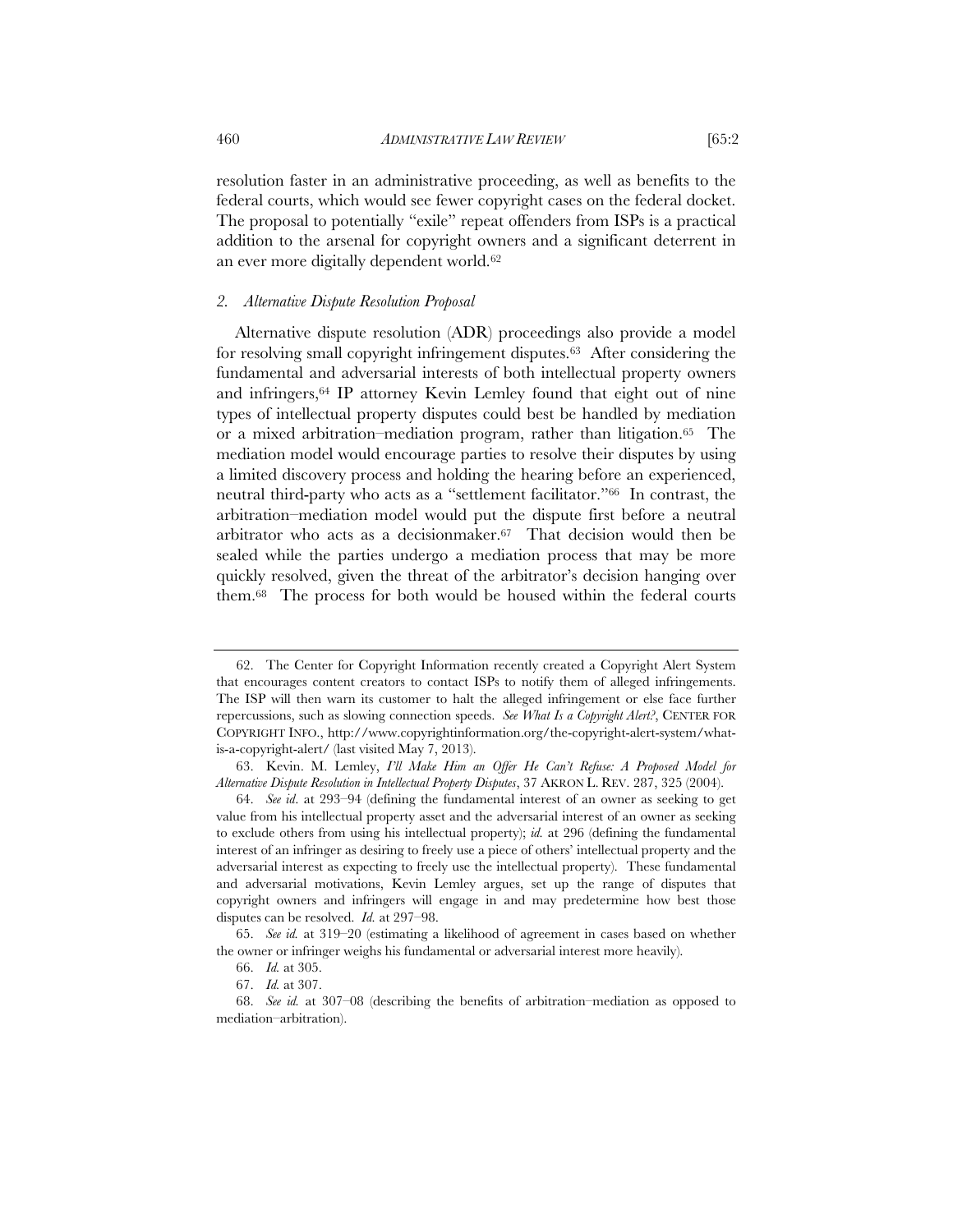resolution faster in an administrative proceeding, as well as benefits to the federal courts, which would see fewer copyright cases on the federal docket. The proposal to potentially "exile" repeat offenders from ISPs is a practical addition to the arsenal for copyright owners and a significant deterrent in an ever more digitally dependent world.62

#### *2. Alternative Dispute Resolution Proposal*

Alternative dispute resolution (ADR) proceedings also provide a model for resolving small copyright infringement disputes.63 After considering the fundamental and adversarial interests of both intellectual property owners and infringers,64 IP attorney Kevin Lemley found that eight out of nine types of intellectual property disputes could best be handled by mediation or a mixed arbitration–mediation program, rather than litigation.65 The mediation model would encourage parties to resolve their disputes by using a limited discovery process and holding the hearing before an experienced, neutral third-party who acts as a "settlement facilitator."66 In contrast, the arbitration–mediation model would put the dispute first before a neutral arbitrator who acts as a decisionmaker.67 That decision would then be sealed while the parties undergo a mediation process that may be more quickly resolved, given the threat of the arbitrator's decision hanging over them.68 The process for both would be housed within the federal courts

<sup>62.</sup> The Center for Copyright Information recently created a Copyright Alert System that encourages content creators to contact ISPs to notify them of alleged infringements. The ISP will then warn its customer to halt the alleged infringement or else face further repercussions, such as slowing connection speeds. *See What Is a Copyright Alert?*, CENTER FOR COPYRIGHT INFO., http://www.copyrightinformation.org/the-copyright-alert-system/whatis-a-copyright-alert/ (last visited May 7, 2013).

 <sup>63.</sup> Kevin. M. Lemley, *I'll Make Him an Offer He Can't Refuse: A Proposed Model for Alternative Dispute Resolution in Intellectual Property Disputes*, 37 AKRON L. REV. 287, 325 (2004).

 <sup>64.</sup> *See id*. at 293–94 (defining the fundamental interest of an owner as seeking to get value from his intellectual property asset and the adversarial interest of an owner as seeking to exclude others from using his intellectual property); *id.* at 296 (defining the fundamental interest of an infringer as desiring to freely use a piece of others' intellectual property and the adversarial interest as expecting to freely use the intellectual property). These fundamental and adversarial motivations, Kevin Lemley argues, set up the range of disputes that copyright owners and infringers will engage in and may predetermine how best those disputes can be resolved. *Id.* at 297–98.

 <sup>65.</sup> *See id.* at 319–20 (estimating a likelihood of agreement in cases based on whether the owner or infringer weighs his fundamental or adversarial interest more heavily).

 <sup>66.</sup> *Id.* at 305.

 <sup>67.</sup> *Id.* at 307.

 <sup>68.</sup> *See id.* at 307–08 (describing the benefits of arbitration–mediation as opposed to mediation–arbitration).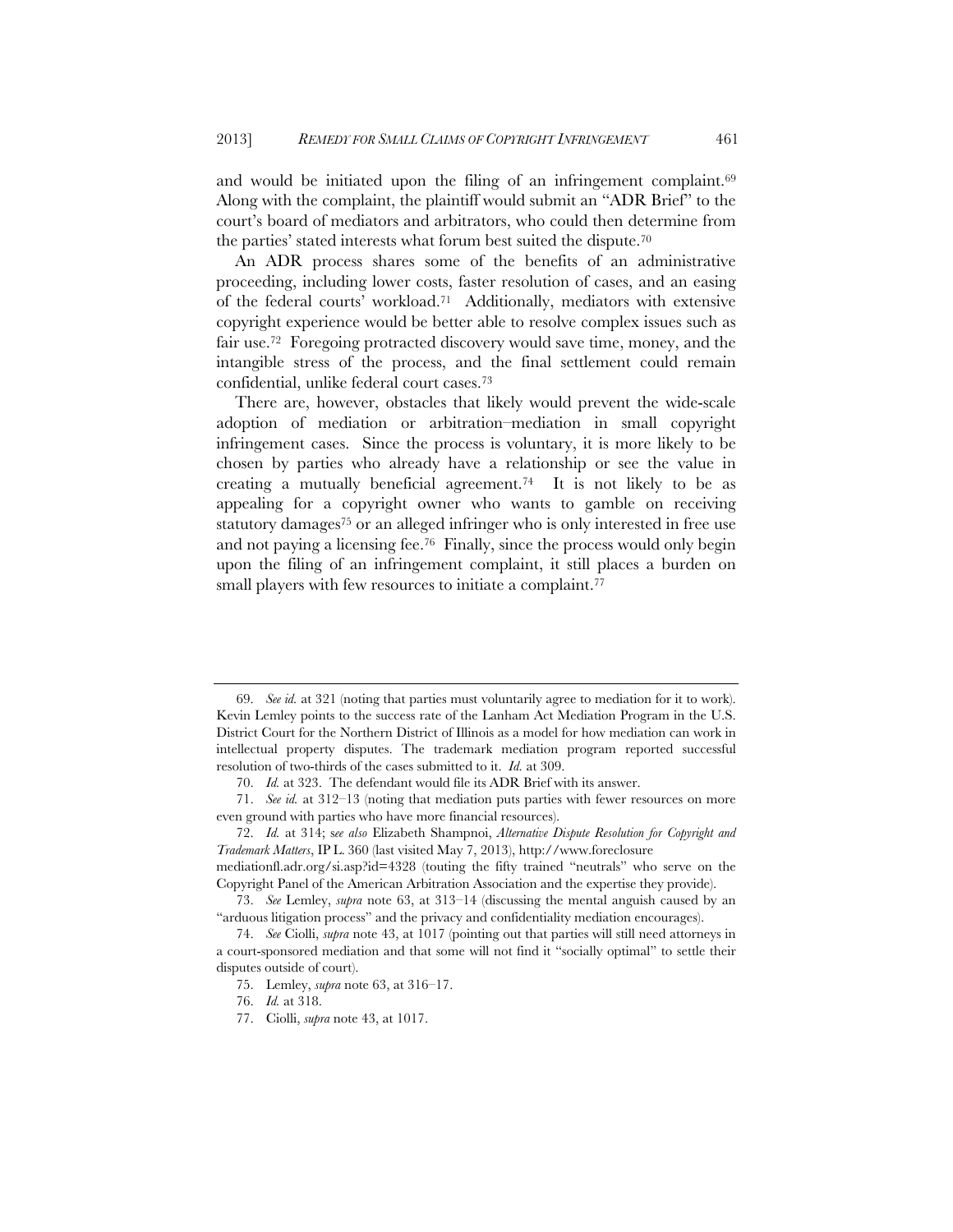and would be initiated upon the filing of an infringement complaint.<sup>69</sup> Along with the complaint, the plaintiff would submit an "ADR Brief" to the court's board of mediators and arbitrators, who could then determine from the parties' stated interests what forum best suited the dispute.70

An ADR process shares some of the benefits of an administrative proceeding, including lower costs, faster resolution of cases, and an easing of the federal courts' workload.71 Additionally, mediators with extensive copyright experience would be better able to resolve complex issues such as fair use.72 Foregoing protracted discovery would save time, money, and the intangible stress of the process, and the final settlement could remain confidential, unlike federal court cases.73

There are, however, obstacles that likely would prevent the wide-scale adoption of mediation or arbitration–mediation in small copyright infringement cases. Since the process is voluntary, it is more likely to be chosen by parties who already have a relationship or see the value in creating a mutually beneficial agreement.<sup>74</sup> It is not likely to be as appealing for a copyright owner who wants to gamble on receiving statutory damages<sup>75</sup> or an alleged infringer who is only interested in free use and not paying a licensing fee.76 Finally, since the process would only begin upon the filing of an infringement complaint, it still places a burden on small players with few resources to initiate a complaint.<sup>77</sup>

 <sup>69.</sup> *See id.* at 321 (noting that parties must voluntarily agree to mediation for it to work). Kevin Lemley points to the success rate of the Lanham Act Mediation Program in the U.S. District Court for the Northern District of Illinois as a model for how mediation can work in intellectual property disputes. The trademark mediation program reported successful resolution of two-thirds of the cases submitted to it. *Id.* at 309.

 <sup>70.</sup> *Id.* at 323. The defendant would file its ADR Brief with its answer.

 <sup>71.</sup> *See id.* at 312–13 (noting that mediation puts parties with fewer resources on more even ground with parties who have more financial resources).

 <sup>72.</sup> *Id.* at 314; s*ee also* Elizabeth Shampnoi, *Alternative Dispute Resolution for Copyright and Trademark Matters*, IP L. 360 (last visited May 7, 2013), http://www.foreclosure

mediationfl.adr.org/si.asp?id=4328 (touting the fifty trained "neutrals" who serve on the Copyright Panel of the American Arbitration Association and the expertise they provide).

 <sup>73.</sup> *See* Lemley, *supra* note 63, at 313–14 (discussing the mental anguish caused by an "arduous litigation process" and the privacy and confidentiality mediation encourages).

 <sup>74.</sup> *See* Ciolli, *supra* note 43, at 1017 (pointing out that parties will still need attorneys in a court-sponsored mediation and that some will not find it "socially optimal" to settle their disputes outside of court).

 <sup>75.</sup> Lemley, *supra* note 63, at 316–17.

 <sup>76.</sup> *Id.* at 318.

 <sup>77.</sup> Ciolli, *supra* note 43, at 1017.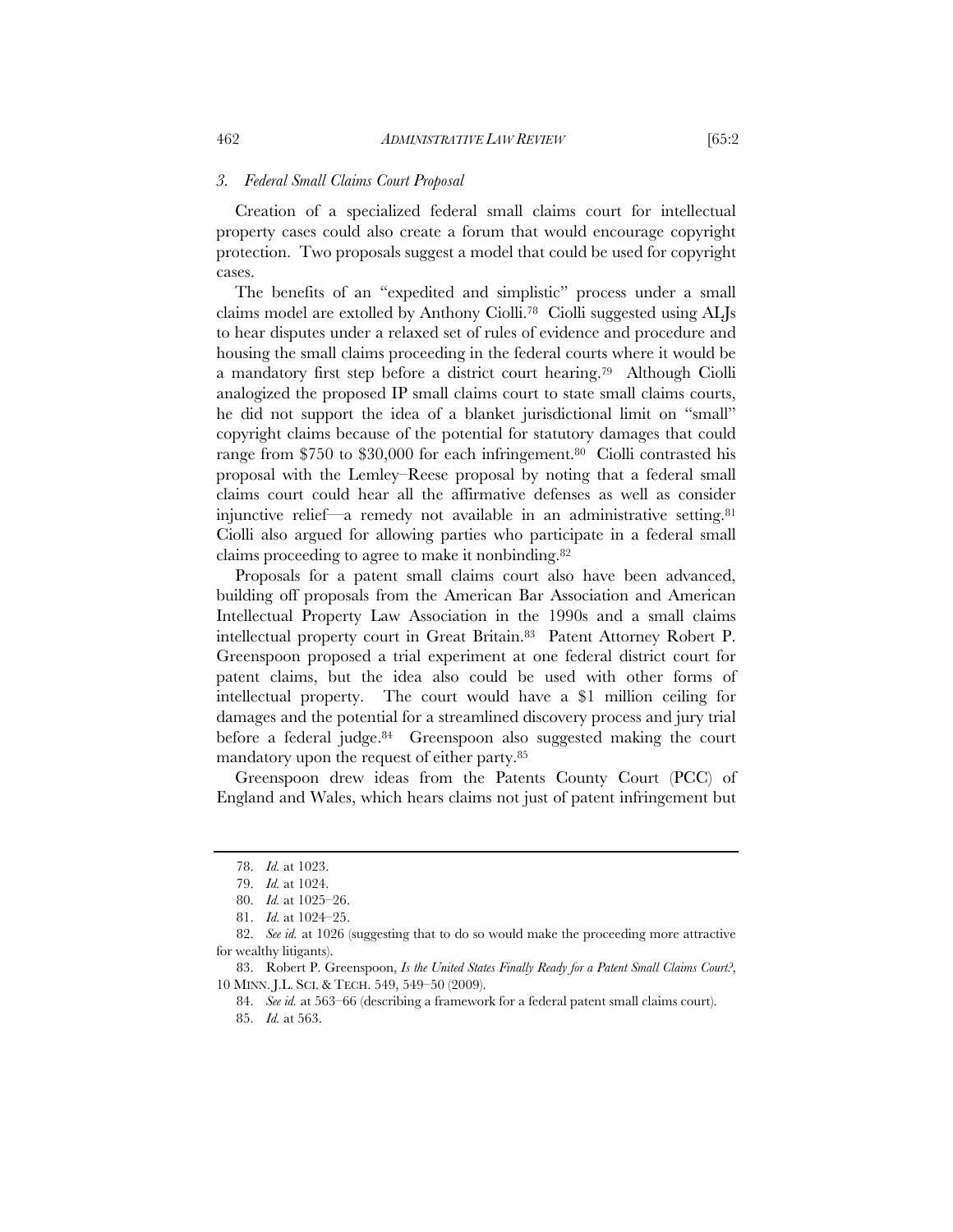#### *3. Federal Small Claims Court Proposal*

Creation of a specialized federal small claims court for intellectual property cases could also create a forum that would encourage copyright protection. Two proposals suggest a model that could be used for copyright cases.

The benefits of an "expedited and simplistic" process under a small claims model are extolled by Anthony Ciolli.78 Ciolli suggested using ALJs to hear disputes under a relaxed set of rules of evidence and procedure and housing the small claims proceeding in the federal courts where it would be a mandatory first step before a district court hearing.79 Although Ciolli analogized the proposed IP small claims court to state small claims courts, he did not support the idea of a blanket jurisdictional limit on "small" copyright claims because of the potential for statutory damages that could range from \$750 to \$30,000 for each infringement.<sup>80</sup> Ciolli contrasted his proposal with the Lemley–Reese proposal by noting that a federal small claims court could hear all the affirmative defenses as well as consider injunctive relief—a remedy not available in an administrative setting.81 Ciolli also argued for allowing parties who participate in a federal small claims proceeding to agree to make it nonbinding.82

Proposals for a patent small claims court also have been advanced, building off proposals from the American Bar Association and American Intellectual Property Law Association in the 1990s and a small claims intellectual property court in Great Britain.83 Patent Attorney Robert P. Greenspoon proposed a trial experiment at one federal district court for patent claims, but the idea also could be used with other forms of intellectual property. The court would have a \$1 million ceiling for damages and the potential for a streamlined discovery process and jury trial before a federal judge.<sup>84</sup> Greenspoon also suggested making the court mandatory upon the request of either party.85

Greenspoon drew ideas from the Patents County Court (PCC) of England and Wales, which hears claims not just of patent infringement but

 <sup>78.</sup> *Id.* at 1023.

 <sup>79.</sup> *Id.* at 1024.

 <sup>80.</sup> *Id.* at 1025–26.

 <sup>81.</sup> *Id.* at 1024–25.

 <sup>82.</sup> *See id.* at 1026 (suggesting that to do so would make the proceeding more attractive for wealthy litigants).

 <sup>83.</sup> Robert P. Greenspoon, *Is the United States Finally Ready for a Patent Small Claims Court?*, 10 MINN. J.L. SCI. & TECH. 549, 549–50 (2009).

 <sup>84.</sup> *See id.* at 563–66 (describing a framework for a federal patent small claims court).

 <sup>85.</sup> *Id.* at 563.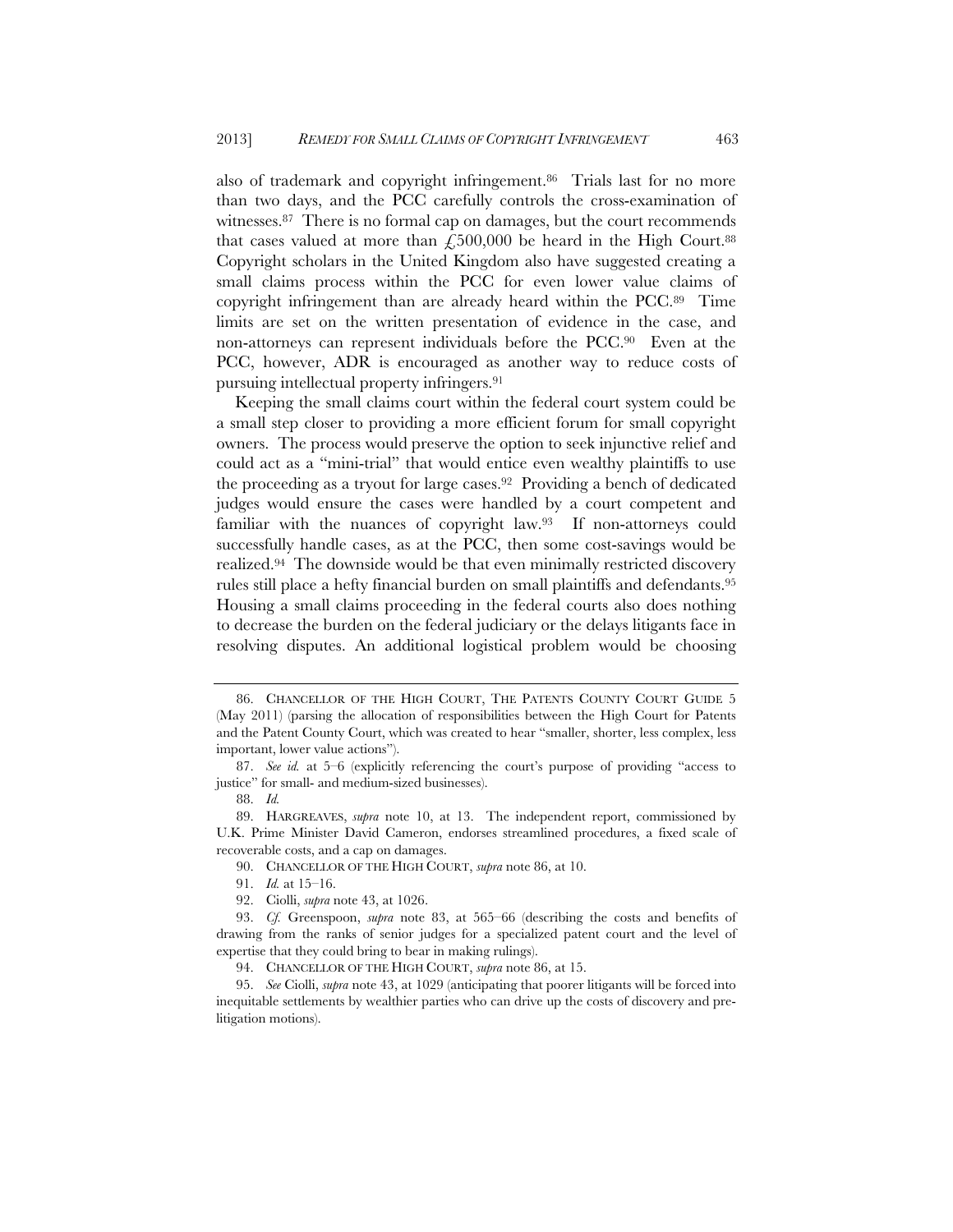also of trademark and copyright infringement.86 Trials last for no more than two days, and the PCC carefully controls the cross-examination of witnesses.87 There is no formal cap on damages, but the court recommends that cases valued at more than  $\epsilon$ ,500,000 be heard in the High Court.<sup>88</sup> Copyright scholars in the United Kingdom also have suggested creating a small claims process within the PCC for even lower value claims of copyright infringement than are already heard within the PCC.89 Time limits are set on the written presentation of evidence in the case, and non-attorneys can represent individuals before the PCC.90 Even at the PCC, however, ADR is encouraged as another way to reduce costs of pursuing intellectual property infringers.91

Keeping the small claims court within the federal court system could be a small step closer to providing a more efficient forum for small copyright owners. The process would preserve the option to seek injunctive relief and could act as a "mini-trial" that would entice even wealthy plaintiffs to use the proceeding as a tryout for large cases.92 Providing a bench of dedicated judges would ensure the cases were handled by a court competent and familiar with the nuances of copyright law.93 If non-attorneys could successfully handle cases, as at the PCC, then some cost-savings would be realized.94 The downside would be that even minimally restricted discovery rules still place a hefty financial burden on small plaintiffs and defendants.95 Housing a small claims proceeding in the federal courts also does nothing to decrease the burden on the federal judiciary or the delays litigants face in resolving disputes. An additional logistical problem would be choosing

 <sup>86.</sup> CHANCELLOR OF THE HIGH COURT, THE PATENTS COUNTY COURT GUIDE 5 (May 2011) (parsing the allocation of responsibilities between the High Court for Patents and the Patent County Court, which was created to hear "smaller, shorter, less complex, less important, lower value actions").

 <sup>87.</sup> *See id.* at 5–6 (explicitly referencing the court's purpose of providing "access to justice" for small- and medium-sized businesses).

 <sup>88.</sup> *Id.*

 <sup>89.</sup> HARGREAVES, *supra* note 10, at 13. The independent report, commissioned by U.K. Prime Minister David Cameron, endorses streamlined procedures, a fixed scale of recoverable costs, and a cap on damages.

 <sup>90.</sup> CHANCELLOR OF THE HIGH COURT, *supra* note 86, at 10.

 <sup>91.</sup> *Id.* at 15–16.

 <sup>92.</sup> Ciolli, *supra* note 43, at 1026.

 <sup>93.</sup> *Cf.* Greenspoon, *supra* note 83, at 565–66 (describing the costs and benefits of drawing from the ranks of senior judges for a specialized patent court and the level of expertise that they could bring to bear in making rulings).

 <sup>94.</sup> CHANCELLOR OF THE HIGH COURT, *supra* note 86, at 15.

 <sup>95.</sup> *See* Ciolli, *supra* note 43, at 1029 (anticipating that poorer litigants will be forced into inequitable settlements by wealthier parties who can drive up the costs of discovery and prelitigation motions).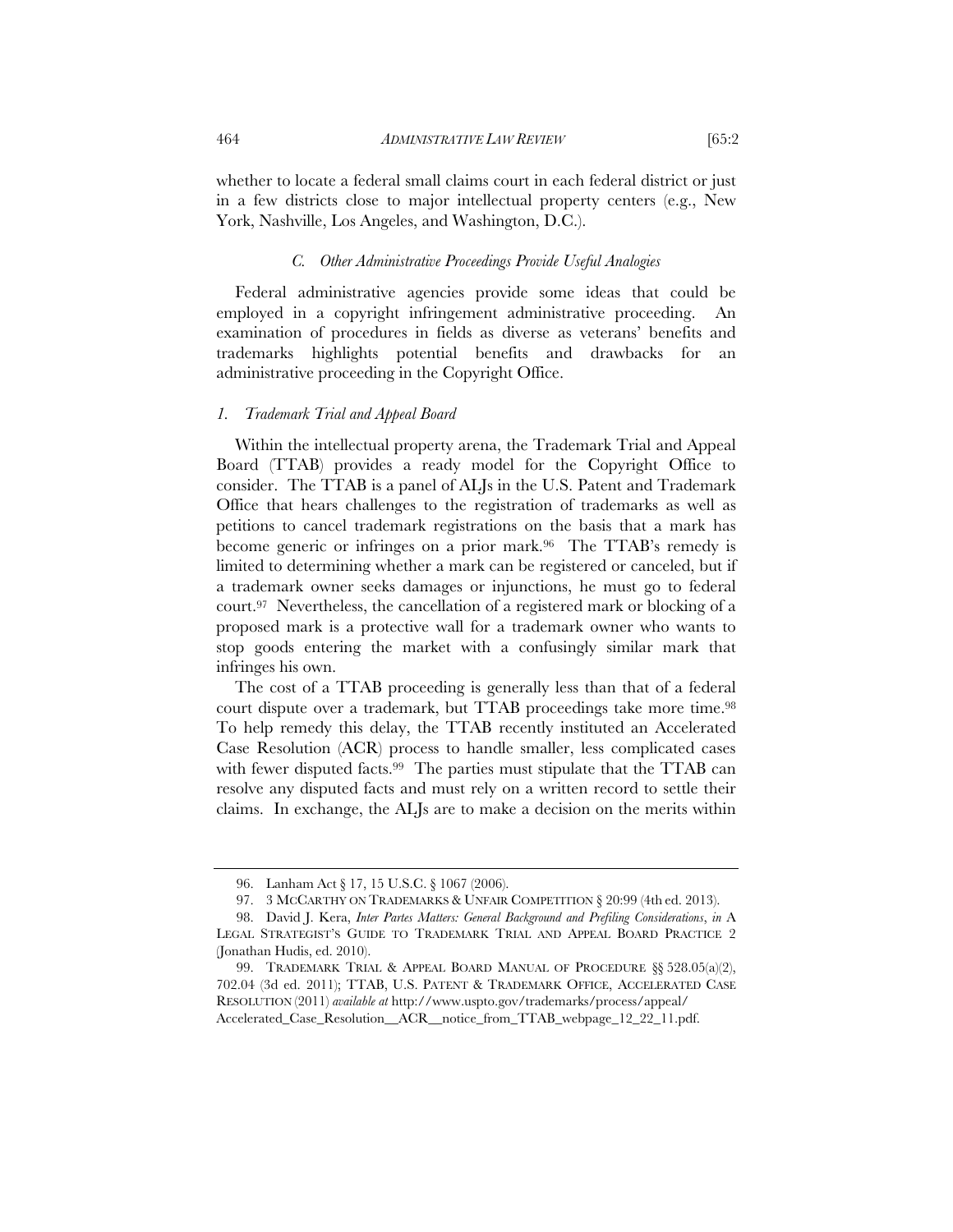whether to locate a federal small claims court in each federal district or just in a few districts close to major intellectual property centers (e.g., New York, Nashville, Los Angeles, and Washington, D.C.).

#### *C. Other Administrative Proceedings Provide Useful Analogies*

Federal administrative agencies provide some ideas that could be employed in a copyright infringement administrative proceeding. An examination of procedures in fields as diverse as veterans' benefits and trademarks highlights potential benefits and drawbacks for an administrative proceeding in the Copyright Office.

#### *1. Trademark Trial and Appeal Board*

Within the intellectual property arena, the Trademark Trial and Appeal Board (TTAB) provides a ready model for the Copyright Office to consider. The TTAB is a panel of ALJs in the U.S. Patent and Trademark Office that hears challenges to the registration of trademarks as well as petitions to cancel trademark registrations on the basis that a mark has become generic or infringes on a prior mark.<sup>96</sup> The TTAB's remedy is limited to determining whether a mark can be registered or canceled, but if a trademark owner seeks damages or injunctions, he must go to federal court.97 Nevertheless, the cancellation of a registered mark or blocking of a proposed mark is a protective wall for a trademark owner who wants to stop goods entering the market with a confusingly similar mark that infringes his own.

The cost of a TTAB proceeding is generally less than that of a federal court dispute over a trademark, but TTAB proceedings take more time.<sup>98</sup> To help remedy this delay, the TTAB recently instituted an Accelerated Case Resolution (ACR) process to handle smaller, less complicated cases with fewer disputed facts.<sup>99</sup> The parties must stipulate that the TTAB can resolve any disputed facts and must rely on a written record to settle their claims. In exchange, the ALJs are to make a decision on the merits within

 <sup>96.</sup> Lanham Act § 17, 15 U.S.C. § 1067 (2006).

 <sup>97. 3</sup> MCCARTHY ON TRADEMARKS & UNFAIR COMPETITION § 20:99 (4th ed. 2013).

 <sup>98.</sup> David J. Kera, *Inter Partes Matters: General Background and Prefiling Considerations*, *in* A LEGAL STRATEGIST'S GUIDE TO TRADEMARK TRIAL AND APPEAL BOARD PRACTICE 2 (Jonathan Hudis, ed. 2010).

 <sup>99.</sup> TRADEMARK TRIAL & APPEAL BOARD MANUAL OF PROCEDURE §§ 528.05(a)(2), 702.04 (3d ed. 2011); TTAB, U.S. PATENT & TRADEMARK OFFICE, ACCELERATED CASE RESOLUTION (2011) *available at* http://www.uspto.gov/trademarks/process/appeal/ Accelerated\_Case\_Resolution\_\_ACR\_\_notice\_from\_TTAB\_webpage\_12\_22\_11.pdf.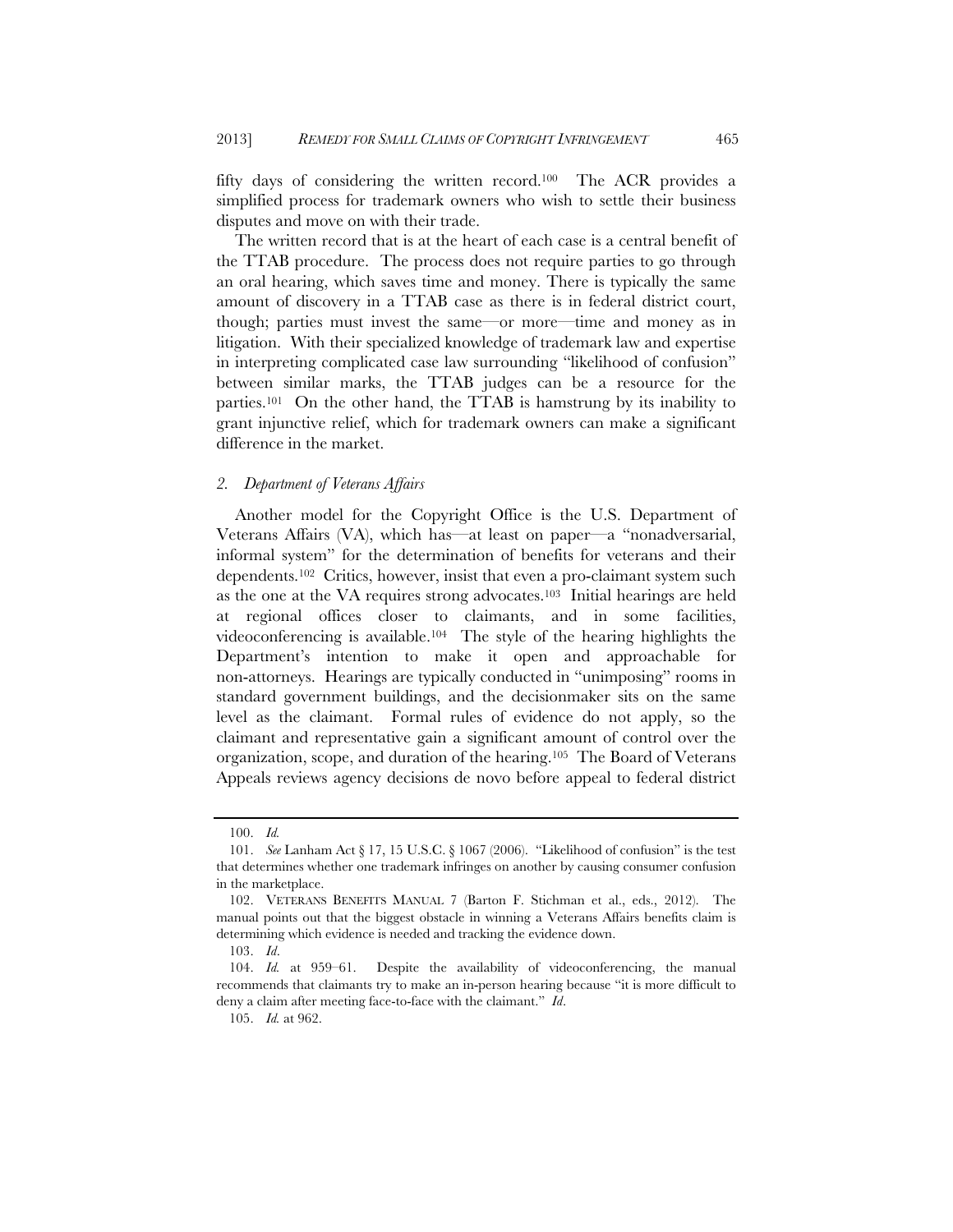fifty days of considering the written record.100 The ACR provides a simplified process for trademark owners who wish to settle their business disputes and move on with their trade.

The written record that is at the heart of each case is a central benefit of the TTAB procedure. The process does not require parties to go through an oral hearing, which saves time and money. There is typically the same amount of discovery in a TTAB case as there is in federal district court, though; parties must invest the same—or more—time and money as in litigation. With their specialized knowledge of trademark law and expertise in interpreting complicated case law surrounding "likelihood of confusion" between similar marks, the TTAB judges can be a resource for the parties.101 On the other hand, the TTAB is hamstrung by its inability to grant injunctive relief, which for trademark owners can make a significant difference in the market.

#### *2. Department of Veterans Affairs*

Another model for the Copyright Office is the U.S. Department of Veterans Affairs (VA), which has—at least on paper—a "nonadversarial, informal system" for the determination of benefits for veterans and their dependents.<sup>102</sup> Critics, however, insist that even a pro-claimant system such as the one at the VA requires strong advocates.103 Initial hearings are held at regional offices closer to claimants, and in some facilities, videoconferencing is available.104 The style of the hearing highlights the Department's intention to make it open and approachable for non-attorneys. Hearings are typically conducted in "unimposing" rooms in standard government buildings, and the decisionmaker sits on the same level as the claimant. Formal rules of evidence do not apply, so the claimant and representative gain a significant amount of control over the organization, scope, and duration of the hearing.105 The Board of Veterans Appeals reviews agency decisions de novo before appeal to federal district

 <sup>100.</sup> *Id.*

 <sup>101.</sup> *See* Lanham Act § 17, 15 U.S.C. § 1067 (2006). "Likelihood of confusion" is the test that determines whether one trademark infringes on another by causing consumer confusion in the marketplace.

 <sup>102.</sup> VETERANS BENEFITS MANUAL 7 (Barton F. Stichman et al., eds., 2012). The manual points out that the biggest obstacle in winning a Veterans Affairs benefits claim is determining which evidence is needed and tracking the evidence down.

 <sup>103.</sup> *Id*.

 <sup>104.</sup> *Id.* at 959–61. Despite the availability of videoconferencing, the manual recommends that claimants try to make an in-person hearing because "it is more difficult to deny a claim after meeting face-to-face with the claimant." *Id*.

 <sup>105.</sup> *Id.* at 962.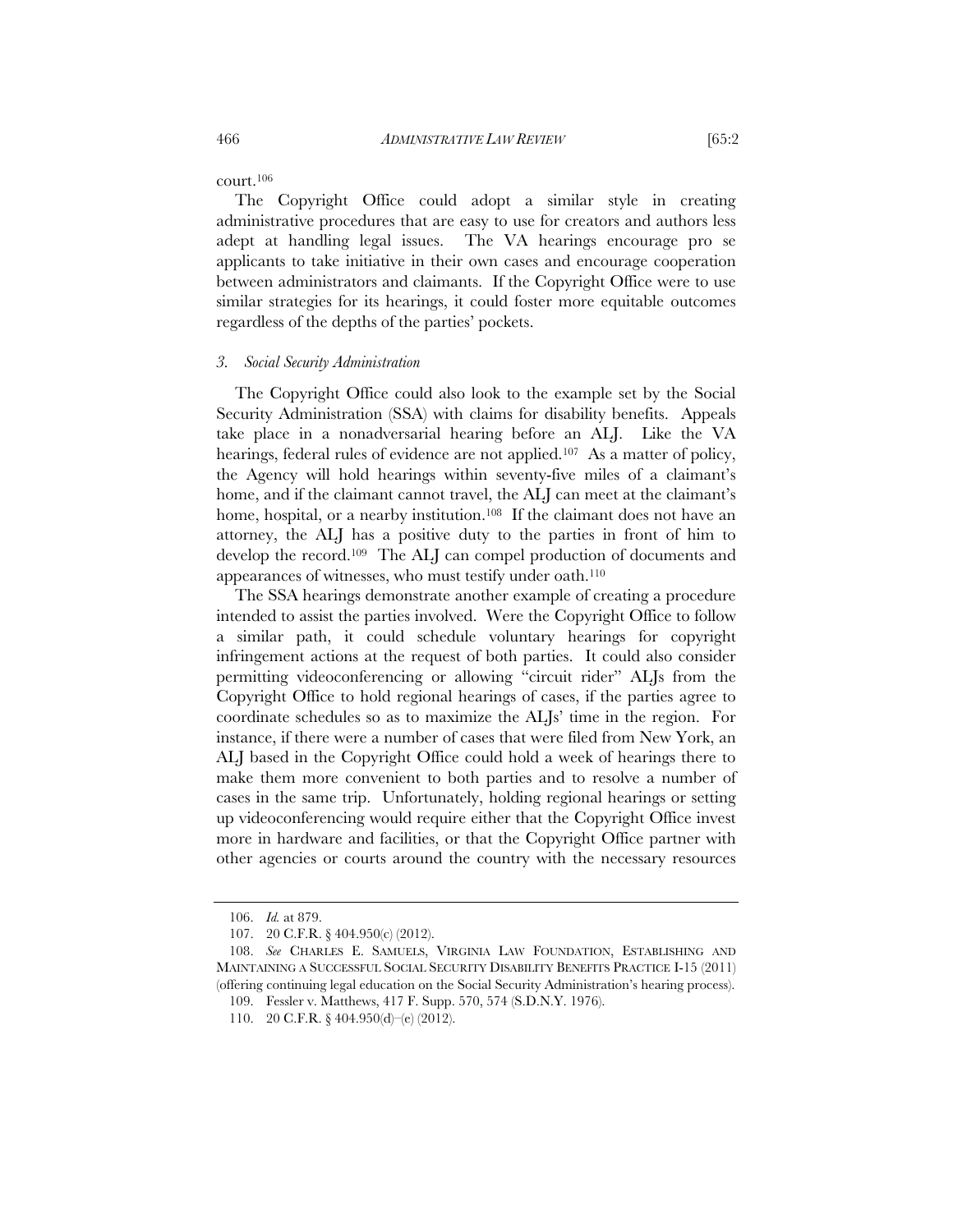court.106

The Copyright Office could adopt a similar style in creating administrative procedures that are easy to use for creators and authors less adept at handling legal issues. The VA hearings encourage pro se applicants to take initiative in their own cases and encourage cooperation between administrators and claimants. If the Copyright Office were to use similar strategies for its hearings, it could foster more equitable outcomes regardless of the depths of the parties' pockets.

#### *3. Social Security Administration*

The Copyright Office could also look to the example set by the Social Security Administration (SSA) with claims for disability benefits. Appeals take place in a nonadversarial hearing before an ALJ. Like the VA hearings, federal rules of evidence are not applied.<sup>107</sup> As a matter of policy, the Agency will hold hearings within seventy-five miles of a claimant's home, and if the claimant cannot travel, the ALJ can meet at the claimant's home, hospital, or a nearby institution.<sup>108</sup> If the claimant does not have an attorney, the ALJ has a positive duty to the parties in front of him to develop the record.109 The ALJ can compel production of documents and appearances of witnesses, who must testify under oath.110

The SSA hearings demonstrate another example of creating a procedure intended to assist the parties involved. Were the Copyright Office to follow a similar path, it could schedule voluntary hearings for copyright infringement actions at the request of both parties. It could also consider permitting videoconferencing or allowing "circuit rider" ALJs from the Copyright Office to hold regional hearings of cases, if the parties agree to coordinate schedules so as to maximize the ALJs' time in the region. For instance, if there were a number of cases that were filed from New York, an ALJ based in the Copyright Office could hold a week of hearings there to make them more convenient to both parties and to resolve a number of cases in the same trip. Unfortunately, holding regional hearings or setting up videoconferencing would require either that the Copyright Office invest more in hardware and facilities, or that the Copyright Office partner with other agencies or courts around the country with the necessary resources

 <sup>106.</sup> *Id.* at 879.

 <sup>107. 20</sup> C.F.R. § 404.950(c) (2012).

 <sup>108.</sup> *See* CHARLES E. SAMUELS, VIRGINIA LAW FOUNDATION, ESTABLISHING AND MAINTAINING A SUCCESSFUL SOCIAL SECURITY DISABILITY BENEFITS PRACTICE I-15 (2011) (offering continuing legal education on the Social Security Administration's hearing process).

 <sup>109.</sup> Fessler v. Matthews, 417 F. Supp. 570, 574 (S.D.N.Y. 1976).

 <sup>110. 20</sup> C.F.R. § 404.950(d)–(e) (2012).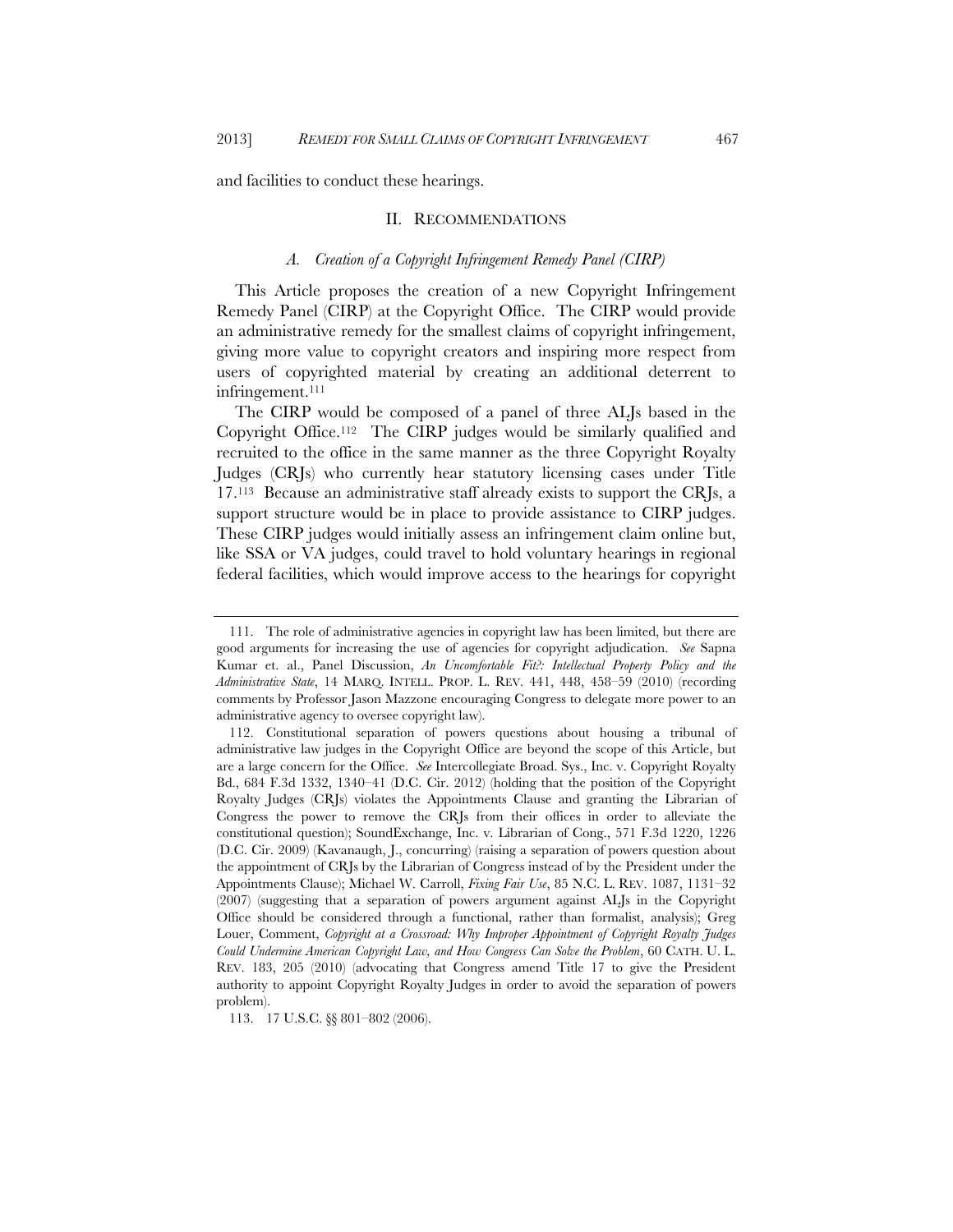and facilities to conduct these hearings.

#### II. RECOMMENDATIONS

#### *A. Creation of a Copyright Infringement Remedy Panel (CIRP)*

This Article proposes the creation of a new Copyright Infringement Remedy Panel (CIRP) at the Copyright Office. The CIRP would provide an administrative remedy for the smallest claims of copyright infringement, giving more value to copyright creators and inspiring more respect from users of copyrighted material by creating an additional deterrent to infringement.<sup>111</sup>

The CIRP would be composed of a panel of three ALJs based in the Copyright Office.112 The CIRP judges would be similarly qualified and recruited to the office in the same manner as the three Copyright Royalty Judges (CRJs) who currently hear statutory licensing cases under Title 17.113 Because an administrative staff already exists to support the CRJs, a support structure would be in place to provide assistance to CIRP judges. These CIRP judges would initially assess an infringement claim online but, like SSA or VA judges, could travel to hold voluntary hearings in regional federal facilities, which would improve access to the hearings for copyright

 <sup>111.</sup> The role of administrative agencies in copyright law has been limited, but there are good arguments for increasing the use of agencies for copyright adjudication. *See* Sapna Kumar et. al., Panel Discussion, *An Uncomfortable Fit?: Intellectual Property Policy and the Administrative State*, 14 MARQ. INTELL. PROP. L. REV. 441, 448, 458–59 (2010) (recording comments by Professor Jason Mazzone encouraging Congress to delegate more power to an administrative agency to oversee copyright law).

 <sup>112.</sup> Constitutional separation of powers questions about housing a tribunal of administrative law judges in the Copyright Office are beyond the scope of this Article, but are a large concern for the Office. *See* Intercollegiate Broad. Sys., Inc. v. Copyright Royalty Bd., 684 F.3d 1332, 1340–41 (D.C. Cir. 2012) (holding that the position of the Copyright Royalty Judges (CRJs) violates the Appointments Clause and granting the Librarian of Congress the power to remove the CRJs from their offices in order to alleviate the constitutional question); SoundExchange, Inc. v. Librarian of Cong., 571 F.3d 1220, 1226 (D.C. Cir. 2009) (Kavanaugh, J., concurring) (raising a separation of powers question about the appointment of CRJs by the Librarian of Congress instead of by the President under the Appointments Clause); Michael W. Carroll, *Fixing Fair Use*, 85 N.C. L. REV. 1087, 1131–32 (2007) (suggesting that a separation of powers argument against ALJs in the Copyright Office should be considered through a functional, rather than formalist, analysis); Greg Louer, Comment, *Copyright at a Crossroad: Why Improper Appointment of Copyright Royalty Judges Could Undermine American Copyright Law, and How Congress Can Solve the Problem*, 60 CATH. U. L. REV. 183, 205 (2010) (advocating that Congress amend Title 17 to give the President authority to appoint Copyright Royalty Judges in order to avoid the separation of powers problem).

 <sup>113. 17</sup> U.S.C. §§ 801–802 (2006).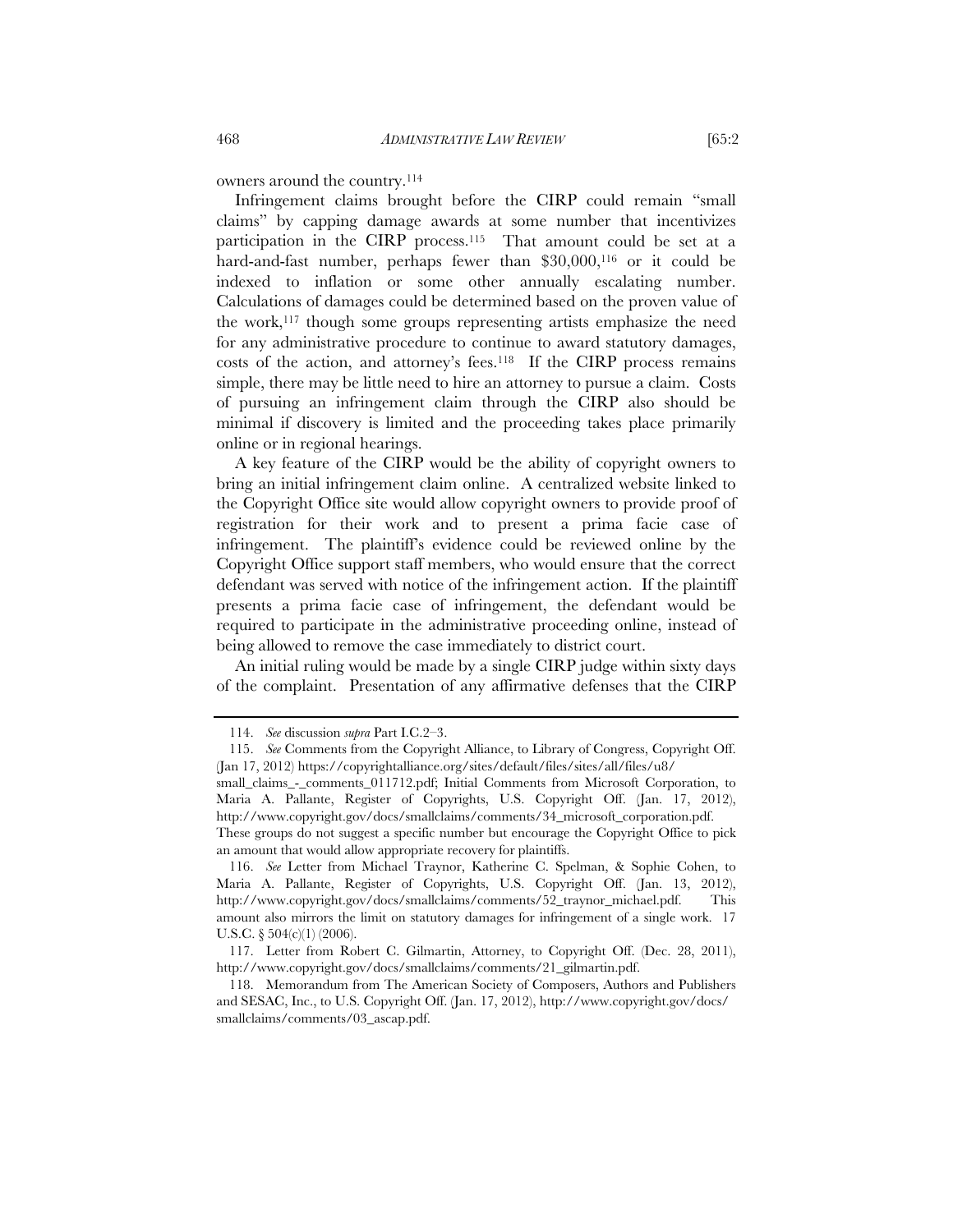owners around the country.114

Infringement claims brought before the CIRP could remain "small claims" by capping damage awards at some number that incentivizes participation in the CIRP process.115 That amount could be set at a hard-and-fast number, perhaps fewer than \$30,000,<sup>116</sup> or it could be indexed to inflation or some other annually escalating number. Calculations of damages could be determined based on the proven value of the work,117 though some groups representing artists emphasize the need for any administrative procedure to continue to award statutory damages, costs of the action, and attorney's fees.118 If the CIRP process remains simple, there may be little need to hire an attorney to pursue a claim. Costs of pursuing an infringement claim through the CIRP also should be minimal if discovery is limited and the proceeding takes place primarily online or in regional hearings.

A key feature of the CIRP would be the ability of copyright owners to bring an initial infringement claim online. A centralized website linked to the Copyright Office site would allow copyright owners to provide proof of registration for their work and to present a prima facie case of infringement. The plaintiff's evidence could be reviewed online by the Copyright Office support staff members, who would ensure that the correct defendant was served with notice of the infringement action. If the plaintiff presents a prima facie case of infringement, the defendant would be required to participate in the administrative proceeding online, instead of being allowed to remove the case immediately to district court.

An initial ruling would be made by a single CIRP judge within sixty days of the complaint. Presentation of any affirmative defenses that the CIRP

 <sup>114.</sup> *See* discussion *supra* Part I.C.2–3.

 <sup>115.</sup> *See* Comments from the Copyright Alliance, to Library of Congress, Copyright Off. (Jan 17, 2012) https://copyrightalliance.org/sites/default/files/sites/all/files/u8/

small\_claims\_-\_comments\_011712.pdf; Initial Comments from Microsoft Corporation, to Maria A. Pallante, Register of Copyrights, U.S. Copyright Off. (Jan. 17, 2012), http://www.copyright.gov/docs/smallclaims/comments/34\_microsoft\_corporation.pdf. These groups do not suggest a specific number but encourage the Copyright Office to pick an amount that would allow appropriate recovery for plaintiffs.

 <sup>116.</sup> *See* Letter from Michael Traynor, Katherine C. Spelman, & Sophie Cohen, to Maria A. Pallante, Register of Copyrights, U.S. Copyright Off. (Jan. 13, 2012), http://www.copyright.gov/docs/smallclaims/comments/52\_traynor\_michael.pdf. This amount also mirrors the limit on statutory damages for infringement of a single work. 17 U.S.C.  $\S 504(c)(1)$  (2006).

 <sup>117.</sup> Letter from Robert C. Gilmartin, Attorney, to Copyright Off. (Dec. 28, 2011), http://www.copyright.gov/docs/smallclaims/comments/21\_gilmartin.pdf.

 <sup>118.</sup> Memorandum from The American Society of Composers, Authors and Publishers and SESAC, Inc., to U.S. Copyright Off. (Jan. 17, 2012), http://www.copyright.gov/docs/ smallclaims/comments/03\_ascap.pdf.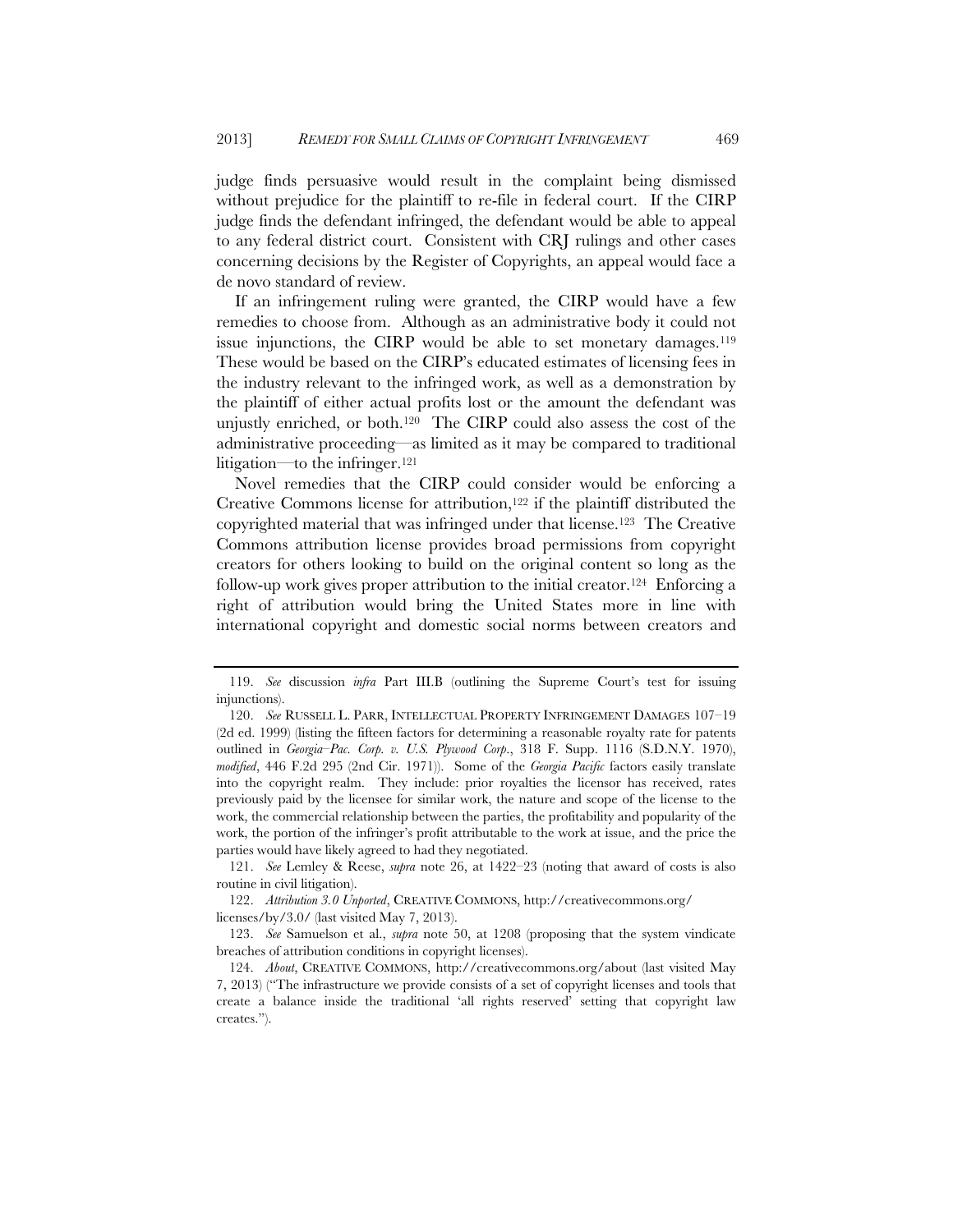judge finds persuasive would result in the complaint being dismissed without prejudice for the plaintiff to re-file in federal court. If the CIRP judge finds the defendant infringed, the defendant would be able to appeal to any federal district court. Consistent with CRJ rulings and other cases concerning decisions by the Register of Copyrights, an appeal would face a de novo standard of review.

If an infringement ruling were granted, the CIRP would have a few remedies to choose from. Although as an administrative body it could not issue injunctions, the CIRP would be able to set monetary damages.<sup>119</sup> These would be based on the CIRP's educated estimates of licensing fees in the industry relevant to the infringed work, as well as a demonstration by the plaintiff of either actual profits lost or the amount the defendant was unjustly enriched, or both.120 The CIRP could also assess the cost of the administrative proceeding—as limited as it may be compared to traditional litigation—to the infringer.121

Novel remedies that the CIRP could consider would be enforcing a Creative Commons license for attribution,122 if the plaintiff distributed the copyrighted material that was infringed under that license.123 The Creative Commons attribution license provides broad permissions from copyright creators for others looking to build on the original content so long as the follow-up work gives proper attribution to the initial creator.124 Enforcing a right of attribution would bring the United States more in line with international copyright and domestic social norms between creators and

 <sup>119.</sup> *See* discussion *infra* Part III.B (outlining the Supreme Court's test for issuing injunctions).

 <sup>120.</sup> *See* RUSSELL L. PARR, INTELLECTUAL PROPERTY INFRINGEMENT DAMAGES 107–19 (2d ed. 1999) (listing the fifteen factors for determining a reasonable royalty rate for patents outlined in *Georgia–Pac. Corp. v. U.S. Plywood Corp*., 318 F. Supp. 1116 (S.D.N.Y. 1970), *modified*, 446 F.2d 295 (2nd Cir. 1971)). Some of the *Georgia Pacific* factors easily translate into the copyright realm. They include: prior royalties the licensor has received, rates previously paid by the licensee for similar work, the nature and scope of the license to the work, the commercial relationship between the parties, the profitability and popularity of the work, the portion of the infringer's profit attributable to the work at issue, and the price the parties would have likely agreed to had they negotiated.

 <sup>121.</sup> *See* Lemley & Reese, *supra* note 26, at 1422–23 (noting that award of costs is also routine in civil litigation).

 <sup>122.</sup> *Attribution 3.0 Unported*, CREATIVE COMMONS, http://creativecommons.org/ licenses/by/3.0/ (last visited May 7, 2013).

 <sup>123.</sup> *See* Samuelson et al., *supra* note 50, at 1208 (proposing that the system vindicate breaches of attribution conditions in copyright licenses).

 <sup>124.</sup> *About*, CREATIVE COMMONS, http://creativecommons.org/about (last visited May 7, 2013) ("The infrastructure we provide consists of a set of copyright licenses and tools that create a balance inside the traditional 'all rights reserved' setting that copyright law creates.").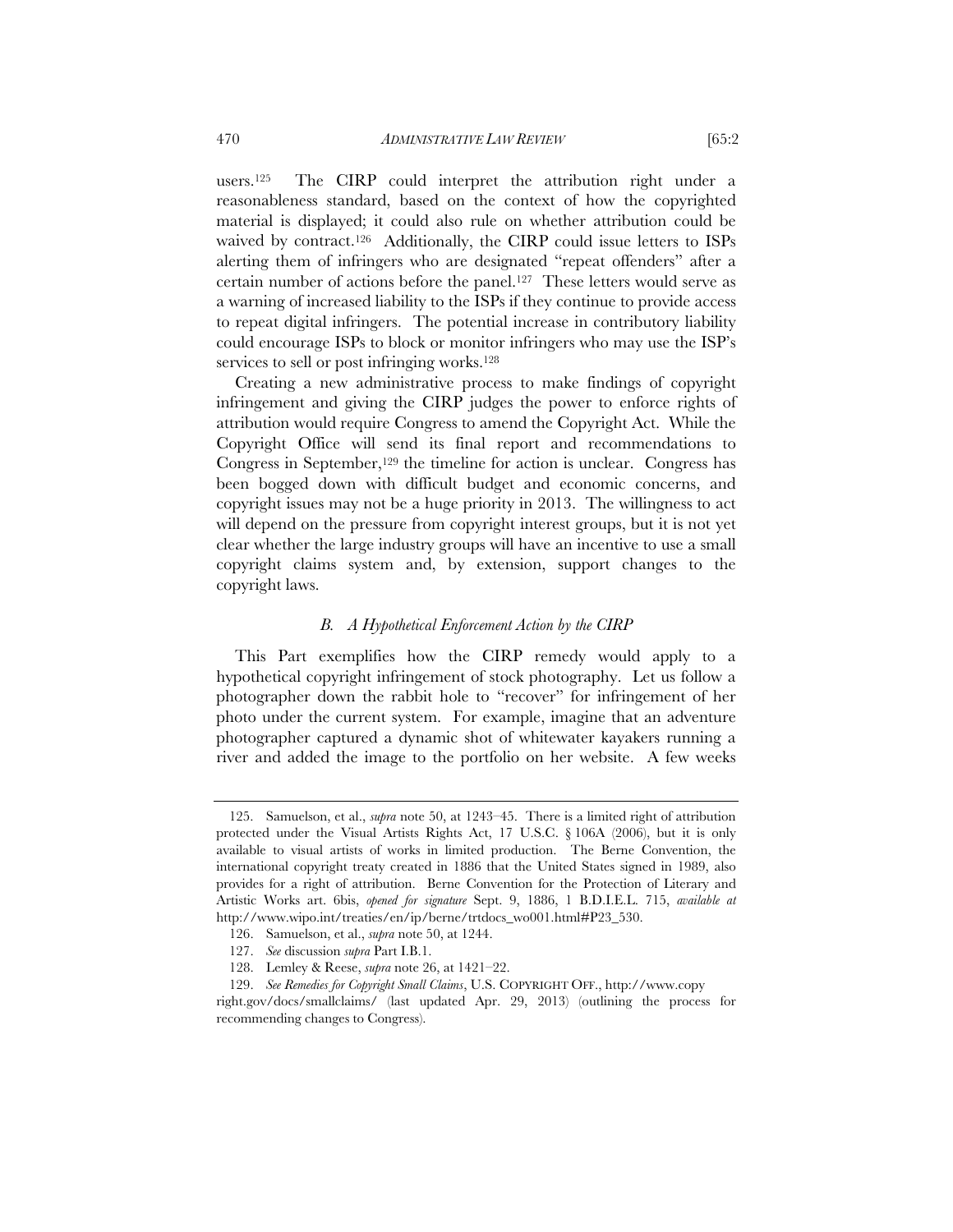users.125 The CIRP could interpret the attribution right under a reasonableness standard, based on the context of how the copyrighted material is displayed; it could also rule on whether attribution could be waived by contract.126 Additionally, the CIRP could issue letters to ISPs alerting them of infringers who are designated "repeat offenders" after a certain number of actions before the panel.127 These letters would serve as a warning of increased liability to the ISPs if they continue to provide access to repeat digital infringers. The potential increase in contributory liability could encourage ISPs to block or monitor infringers who may use the ISP's services to sell or post infringing works.<sup>128</sup>

Creating a new administrative process to make findings of copyright infringement and giving the CIRP judges the power to enforce rights of attribution would require Congress to amend the Copyright Act. While the Copyright Office will send its final report and recommendations to Congress in September,<sup>129</sup> the timeline for action is unclear. Congress has been bogged down with difficult budget and economic concerns, and copyright issues may not be a huge priority in 2013. The willingness to act will depend on the pressure from copyright interest groups, but it is not yet clear whether the large industry groups will have an incentive to use a small copyright claims system and, by extension, support changes to the copyright laws.

#### *B. A Hypothetical Enforcement Action by the CIRP*

This Part exemplifies how the CIRP remedy would apply to a hypothetical copyright infringement of stock photography. Let us follow a photographer down the rabbit hole to "recover" for infringement of her photo under the current system. For example, imagine that an adventure photographer captured a dynamic shot of whitewater kayakers running a river and added the image to the portfolio on her website. A few weeks

 <sup>125.</sup> Samuelson, et al., *supra* note 50, at 1243–45. There is a limited right of attribution protected under the Visual Artists Rights Act, 17 U.S.C. § 106A (2006), but it is only available to visual artists of works in limited production. The Berne Convention, the international copyright treaty created in 1886 that the United States signed in 1989, also provides for a right of attribution. Berne Convention for the Protection of Literary and Artistic Works art. 6bis, *opened for signature* Sept. 9, 1886, 1 B.D.I.E.L. 715, *available at* http://www.wipo.int/treaties/en/ip/berne/trtdocs\_wo001.html#P23\_530.

 <sup>126.</sup> Samuelson, et al., *supra* note 50, at 1244.

 <sup>127.</sup> *See* discussion *supra* Part I.B.1.

 <sup>128.</sup> Lemley & Reese, *supra* note 26, at 1421–22.

 <sup>129.</sup> *See Remedies for Copyright Small Claims*, U.S. COPYRIGHT OFF., http://www.copy

right.gov/docs/smallclaims/ (last updated Apr. 29, 2013) (outlining the process for recommending changes to Congress).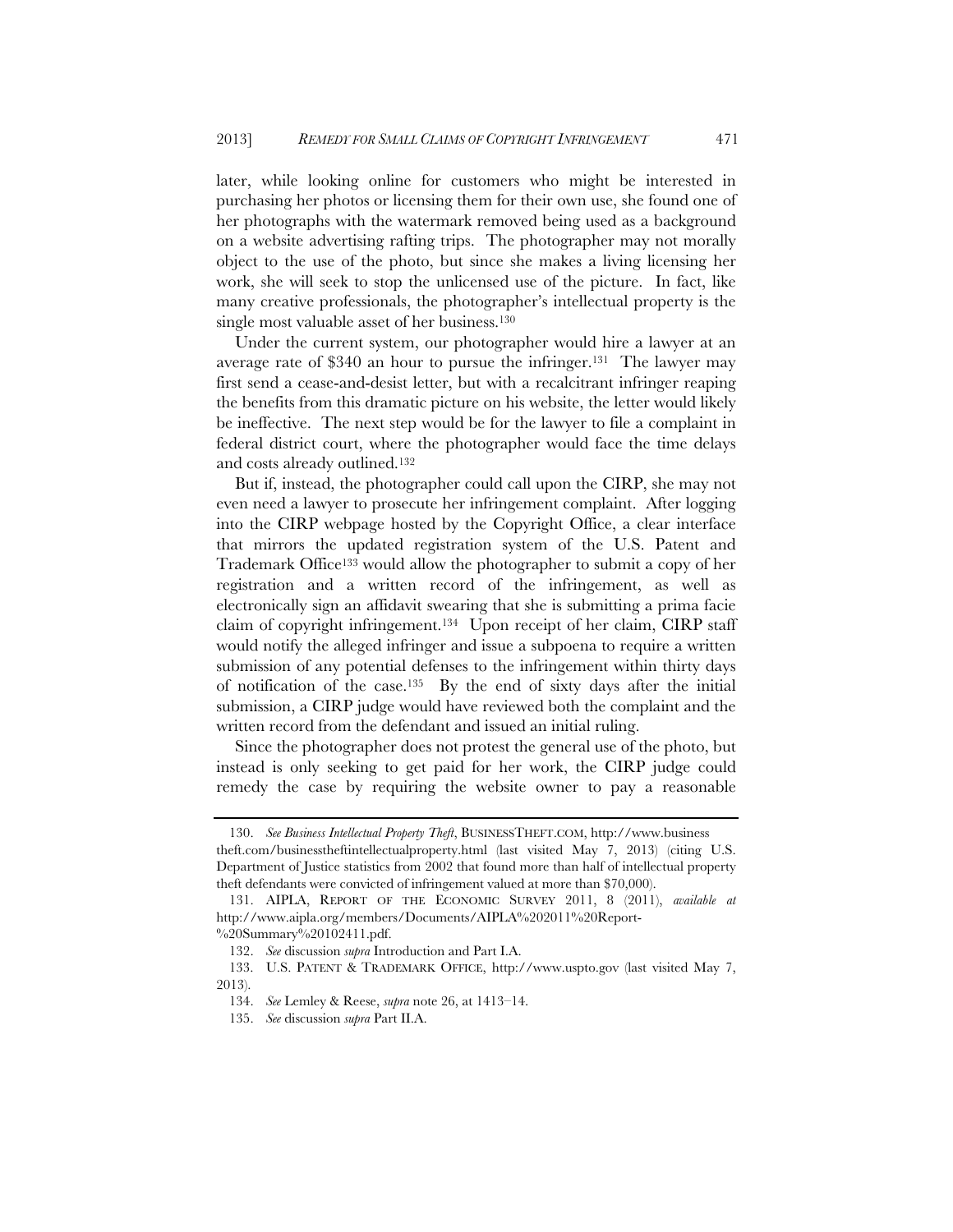later, while looking online for customers who might be interested in purchasing her photos or licensing them for their own use, she found one of her photographs with the watermark removed being used as a background on a website advertising rafting trips. The photographer may not morally object to the use of the photo, but since she makes a living licensing her work, she will seek to stop the unlicensed use of the picture. In fact, like many creative professionals, the photographer's intellectual property is the single most valuable asset of her business.130

Under the current system, our photographer would hire a lawyer at an average rate of \$340 an hour to pursue the infringer.131 The lawyer may first send a cease-and-desist letter, but with a recalcitrant infringer reaping the benefits from this dramatic picture on his website, the letter would likely be ineffective. The next step would be for the lawyer to file a complaint in federal district court, where the photographer would face the time delays and costs already outlined.132

But if, instead, the photographer could call upon the CIRP, she may not even need a lawyer to prosecute her infringement complaint. After logging into the CIRP webpage hosted by the Copyright Office, a clear interface that mirrors the updated registration system of the U.S. Patent and Trademark Office133 would allow the photographer to submit a copy of her registration and a written record of the infringement, as well as electronically sign an affidavit swearing that she is submitting a prima facie claim of copyright infringement.134 Upon receipt of her claim, CIRP staff would notify the alleged infringer and issue a subpoena to require a written submission of any potential defenses to the infringement within thirty days of notification of the case.135 By the end of sixty days after the initial submission, a CIRP judge would have reviewed both the complaint and the written record from the defendant and issued an initial ruling.

Since the photographer does not protest the general use of the photo, but instead is only seeking to get paid for her work, the CIRP judge could remedy the case by requiring the website owner to pay a reasonable

 <sup>130.</sup> *See Business Intellectual Property Theft*, BUSINESSTHEFT.COM, http://www.business

theft.com/businesstheftintellectualproperty.html (last visited May 7, 2013) (citing U.S. Department of Justice statistics from 2002 that found more than half of intellectual property theft defendants were convicted of infringement valued at more than \$70,000).

 <sup>131.</sup> AIPLA, REPORT OF THE ECONOMIC SURVEY 2011, 8 (2011), *available at* http://www.aipla.org/members/Documents/AIPLA%202011%20Report-

<sup>%20</sup>Summary%20102411.pdf.

 <sup>132.</sup> *See* discussion *supra* Introduction and Part I.A.

 <sup>133.</sup> U.S. PATENT & TRADEMARK OFFICE, http://www.uspto.gov (last visited May 7, 2013).

 <sup>134.</sup> *See* Lemley & Reese, *supra* note 26, at 1413–14.

 <sup>135.</sup> *See* discussion *supra* Part II.A.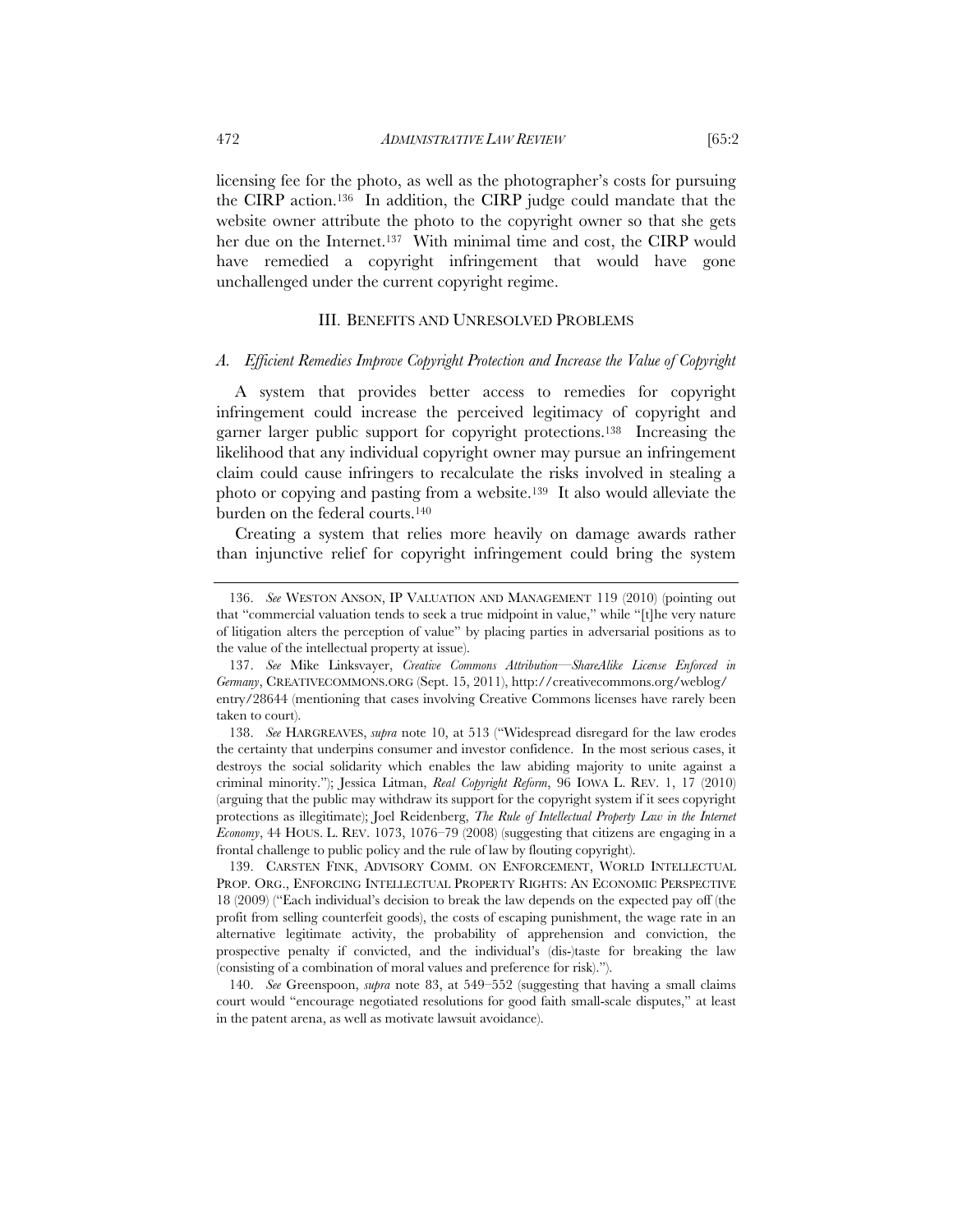licensing fee for the photo, as well as the photographer's costs for pursuing the CIRP action.136 In addition, the CIRP judge could mandate that the website owner attribute the photo to the copyright owner so that she gets her due on the Internet.<sup>137</sup> With minimal time and cost, the CIRP would have remedied a copyright infringement that would have gone unchallenged under the current copyright regime.

#### III. BENEFITS AND UNRESOLVED PROBLEMS

#### *A. Efficient Remedies Improve Copyright Protection and Increase the Value of Copyright*

A system that provides better access to remedies for copyright infringement could increase the perceived legitimacy of copyright and garner larger public support for copyright protections.138 Increasing the likelihood that any individual copyright owner may pursue an infringement claim could cause infringers to recalculate the risks involved in stealing a photo or copying and pasting from a website.139 It also would alleviate the burden on the federal courts.140

Creating a system that relies more heavily on damage awards rather than injunctive relief for copyright infringement could bring the system

 <sup>136.</sup> *See* WESTON ANSON, IP VALUATION AND MANAGEMENT 119 (2010) (pointing out that "commercial valuation tends to seek a true midpoint in value," while "[t]he very nature of litigation alters the perception of value" by placing parties in adversarial positions as to the value of the intellectual property at issue).

 <sup>137.</sup> *See* Mike Linksvayer, *Creative Commons Attribution—ShareAlike License Enforced in Germany*, CREATIVECOMMONS.ORG (Sept. 15, 2011), http://creativecommons.org/weblog/ entry/28644 (mentioning that cases involving Creative Commons licenses have rarely been taken to court).

 <sup>138.</sup> *See* HARGREAVES, *supra* note 10, at 513 ("Widespread disregard for the law erodes the certainty that underpins consumer and investor confidence. In the most serious cases, it destroys the social solidarity which enables the law abiding majority to unite against a criminal minority."); Jessica Litman, *Real Copyright Reform*, 96 IOWA L. REV. 1, 17 (2010) (arguing that the public may withdraw its support for the copyright system if it sees copyright protections as illegitimate); Joel Reidenberg, *The Rule of Intellectual Property Law in the Internet Economy*, 44 HOUS. L. REV. 1073, 1076–79 (2008) (suggesting that citizens are engaging in a frontal challenge to public policy and the rule of law by flouting copyright).

 <sup>139.</sup> CARSTEN FINK, ADVISORY COMM. ON ENFORCEMENT, WORLD INTELLECTUAL PROP. ORG., ENFORCING INTELLECTUAL PROPERTY RIGHTS: AN ECONOMIC PERSPECTIVE 18 (2009) ("Each individual's decision to break the law depends on the expected pay off (the profit from selling counterfeit goods), the costs of escaping punishment, the wage rate in an alternative legitimate activity, the probability of apprehension and conviction, the prospective penalty if convicted, and the individual's (dis-)taste for breaking the law (consisting of a combination of moral values and preference for risk).").

 <sup>140.</sup> *See* Greenspoon, *supra* note 83, at 549–552 (suggesting that having a small claims court would "encourage negotiated resolutions for good faith small-scale disputes," at least in the patent arena, as well as motivate lawsuit avoidance).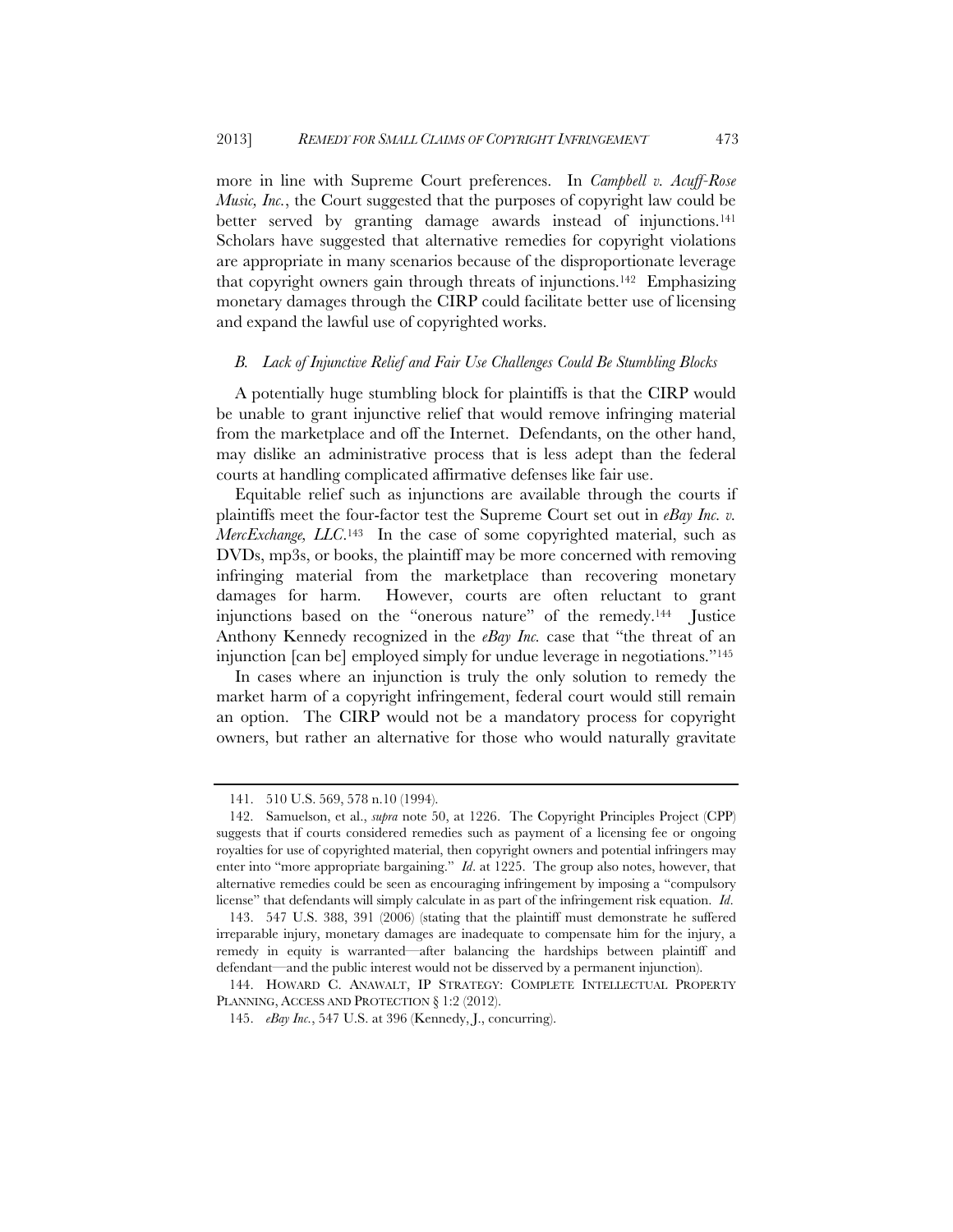more in line with Supreme Court preferences. In *Campbell v. Acuff-Rose Music, Inc.*, the Court suggested that the purposes of copyright law could be better served by granting damage awards instead of injunctions.<sup>141</sup> Scholars have suggested that alternative remedies for copyright violations are appropriate in many scenarios because of the disproportionate leverage that copyright owners gain through threats of injunctions.<sup>142</sup> Emphasizing monetary damages through the CIRP could facilitate better use of licensing and expand the lawful use of copyrighted works.

#### *B. Lack of Injunctive Relief and Fair Use Challenges Could Be Stumbling Blocks*

A potentially huge stumbling block for plaintiffs is that the CIRP would be unable to grant injunctive relief that would remove infringing material from the marketplace and off the Internet. Defendants, on the other hand, may dislike an administrative process that is less adept than the federal courts at handling complicated affirmative defenses like fair use.

Equitable relief such as injunctions are available through the courts if plaintiffs meet the four-factor test the Supreme Court set out in *eBay Inc. v. MercExchange, LLC*.143 In the case of some copyrighted material, such as DVDs, mp3s, or books, the plaintiff may be more concerned with removing infringing material from the marketplace than recovering monetary damages for harm. However, courts are often reluctant to grant injunctions based on the "onerous nature" of the remedy.144 Justice Anthony Kennedy recognized in the *eBay Inc.* case that "the threat of an injunction [can be] employed simply for undue leverage in negotiations."145

In cases where an injunction is truly the only solution to remedy the market harm of a copyright infringement, federal court would still remain an option. The CIRP would not be a mandatory process for copyright owners, but rather an alternative for those who would naturally gravitate

 <sup>141. 510</sup> U.S. 569, 578 n.10 (1994).

 <sup>142.</sup> Samuelson, et al., *supra* note 50, at 1226. The Copyright Principles Project (CPP) suggests that if courts considered remedies such as payment of a licensing fee or ongoing royalties for use of copyrighted material, then copyright owners and potential infringers may enter into "more appropriate bargaining." *Id*. at 1225. The group also notes, however, that alternative remedies could be seen as encouraging infringement by imposing a "compulsory license" that defendants will simply calculate in as part of the infringement risk equation. *Id*.

 <sup>143. 547</sup> U.S. 388, 391 (2006) (stating that the plaintiff must demonstrate he suffered irreparable injury, monetary damages are inadequate to compensate him for the injury, a remedy in equity is warranted—after balancing the hardships between plaintiff and defendant—and the public interest would not be disserved by a permanent injunction).

 <sup>144.</sup> HOWARD C. ANAWALT, IP STRATEGY: COMPLETE INTELLECTUAL PROPERTY PLANNING, ACCESS AND PROTECTION § 1:2 (2012).

 <sup>145.</sup> *eBay Inc.*, 547 U.S. at 396 (Kennedy, J., concurring).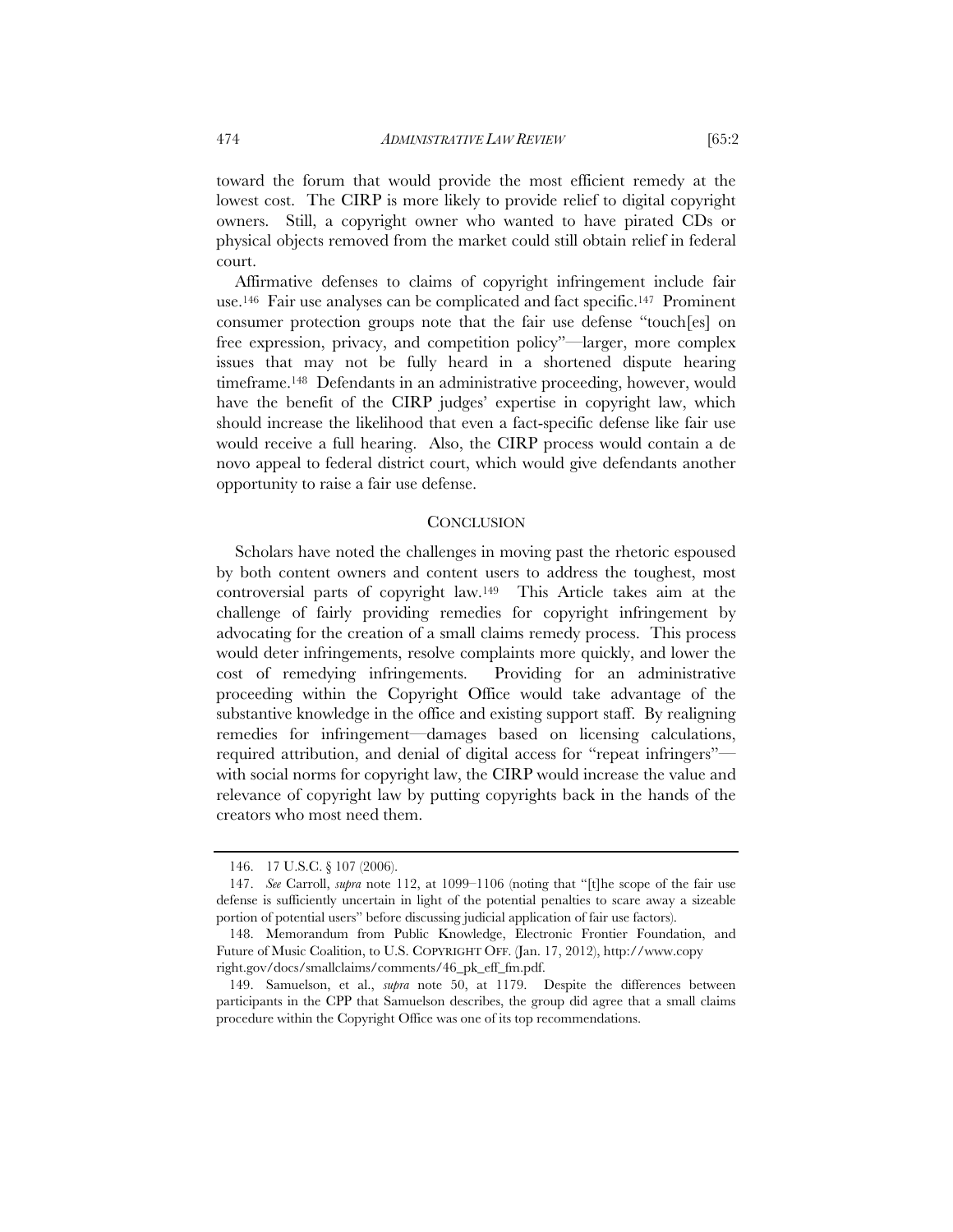toward the forum that would provide the most efficient remedy at the lowest cost. The CIRP is more likely to provide relief to digital copyright owners. Still, a copyright owner who wanted to have pirated CDs or physical objects removed from the market could still obtain relief in federal court.

Affirmative defenses to claims of copyright infringement include fair use.146 Fair use analyses can be complicated and fact specific.147 Prominent consumer protection groups note that the fair use defense "touch[es] on free expression, privacy, and competition policy"—larger, more complex issues that may not be fully heard in a shortened dispute hearing timeframe.148 Defendants in an administrative proceeding, however, would have the benefit of the CIRP judges' expertise in copyright law, which should increase the likelihood that even a fact-specific defense like fair use would receive a full hearing. Also, the CIRP process would contain a de novo appeal to federal district court, which would give defendants another opportunity to raise a fair use defense.

#### **CONCLUSION**

Scholars have noted the challenges in moving past the rhetoric espoused by both content owners and content users to address the toughest, most controversial parts of copyright law.149 This Article takes aim at the challenge of fairly providing remedies for copyright infringement by advocating for the creation of a small claims remedy process. This process would deter infringements, resolve complaints more quickly, and lower the cost of remedying infringements. Providing for an administrative proceeding within the Copyright Office would take advantage of the substantive knowledge in the office and existing support staff. By realigning remedies for infringement—damages based on licensing calculations, required attribution, and denial of digital access for "repeat infringers" with social norms for copyright law, the CIRP would increase the value and relevance of copyright law by putting copyrights back in the hands of the creators who most need them.

 <sup>146. 17</sup> U.S.C. § 107 (2006).

 <sup>147.</sup> *See* Carroll, *supra* note 112, at 1099–1106 (noting that "[t]he scope of the fair use defense is sufficiently uncertain in light of the potential penalties to scare away a sizeable portion of potential users" before discussing judicial application of fair use factors).

 <sup>148.</sup> Memorandum from Public Knowledge, Electronic Frontier Foundation, and Future of Music Coalition, to U.S. COPYRIGHT OFF. (Jan. 17, 2012), http://www.copy right.gov/docs/smallclaims/comments/46\_pk\_eff\_fm.pdf.

 <sup>149.</sup> Samuelson, et al., *supra* note 50, at 1179. Despite the differences between participants in the CPP that Samuelson describes, the group did agree that a small claims procedure within the Copyright Office was one of its top recommendations.